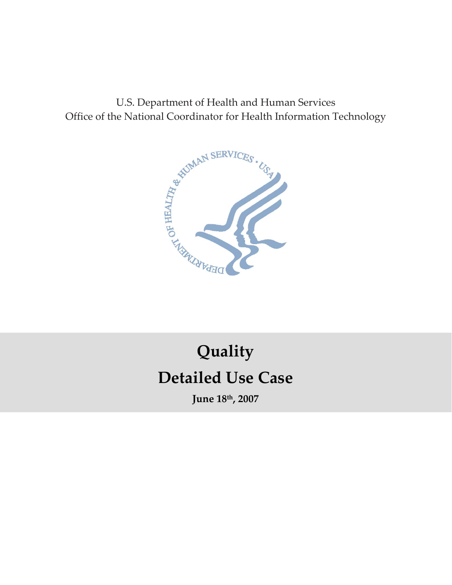U.S. Department of Health and Human Services Office of the National Coordinator for Health Information Technology



# **Detailed Use Case Quality**

**June 18th, 2007**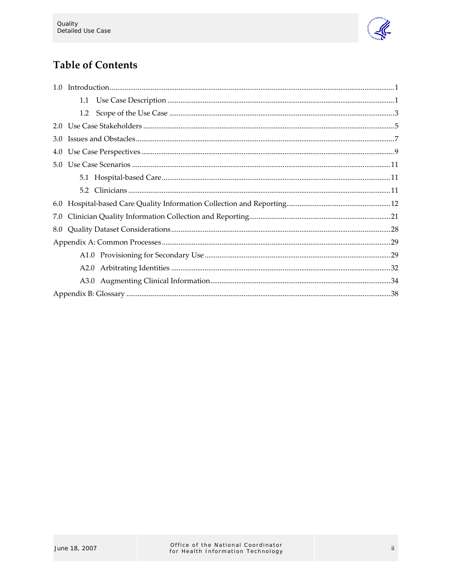

# **Table of Contents**

| 3.0 |  |  |
|-----|--|--|
| 4.0 |  |  |
| 5.0 |  |  |
|     |  |  |
|     |  |  |
|     |  |  |
| 7.0 |  |  |
| 8.0 |  |  |
|     |  |  |
|     |  |  |
|     |  |  |
|     |  |  |
|     |  |  |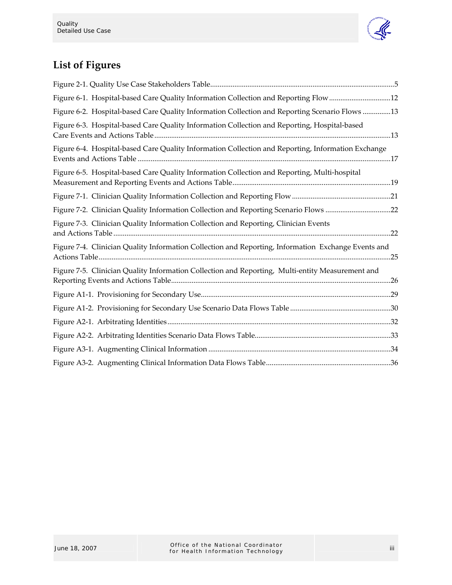

# **List of Figures**

| Figure 6-1. Hospital-based Care Quality Information Collection and Reporting Flow 12                |  |
|-----------------------------------------------------------------------------------------------------|--|
| Figure 6-2. Hospital-based Care Quality Information Collection and Reporting Scenario Flows 13      |  |
| Figure 6-3. Hospital-based Care Quality Information Collection and Reporting, Hospital-based        |  |
| Figure 6-4. Hospital-based Care Quality Information Collection and Reporting, Information Exchange  |  |
| Figure 6-5. Hospital-based Care Quality Information Collection and Reporting, Multi-hospital        |  |
|                                                                                                     |  |
| Figure 7-2. Clinician Quality Information Collection and Reporting Scenario Flows 22                |  |
| Figure 7-3. Clinician Quality Information Collection and Reporting, Clinician Events                |  |
| Figure 7-4. Clinician Quality Information Collection and Reporting, Information Exchange Events and |  |
| Figure 7-5. Clinician Quality Information Collection and Reporting, Multi-entity Measurement and    |  |
|                                                                                                     |  |
|                                                                                                     |  |
|                                                                                                     |  |
|                                                                                                     |  |
|                                                                                                     |  |
|                                                                                                     |  |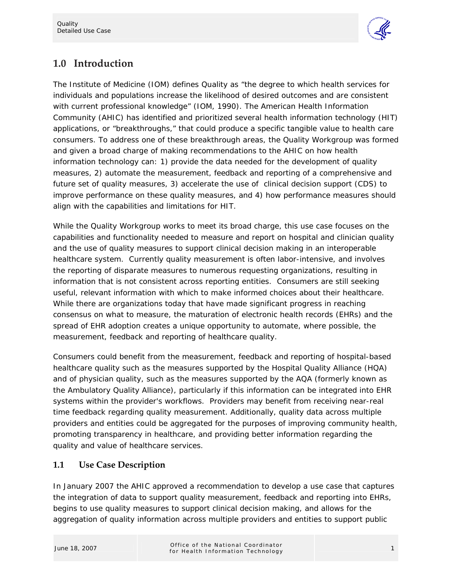

# **1.0 Introduction**

The Institute of Medicine (IOM) defines Quality as "the degree to which health services for individuals and populations increase the likelihood of desired outcomes and are consistent with current professional knowledge" (IOM, 1990). The American Health Information Community (AHIC) has identified and prioritized several health information technology (HIT) applications, or "breakthroughs," that could produce a specific tangible value to health care consumers. To address one of these breakthrough areas, the Quality Workgroup was formed and given a broad charge of making recommendations to the AHIC on how health information technology can: 1) provide the data needed for the development of quality measures, 2) automate the measurement, feedback and reporting of a comprehensive and future set of quality measures, 3) accelerate the use of clinical decision support (CDS) to improve performance on these quality measures, and 4) how performance measures should align with the capabilities and limitations for HIT.

While the Quality Workgroup works to meet its broad charge, this use case focuses on the capabilities and functionality needed to measure and report on hospital and clinician quality and the use of quality measures to support clinical decision making in an interoperable healthcare system. Currently quality measurement is often labor-intensive, and involves the reporting of disparate measures to numerous requesting organizations, resulting in information that is not consistent across reporting entities. Consumers are still seeking useful, relevant information with which to make informed choices about their healthcare. While there are organizations today that have made significant progress in reaching consensus on what to measure, the maturation of electronic health records (EHRs) and the spread of EHR adoption creates a unique opportunity to automate, where possible, the measurement, feedback and reporting of healthcare quality.

Consumers could benefit from the measurement, feedback and reporting of hospital-based healthcare quality such as the measures supported by the Hospital Quality Alliance (HQA) and of physician quality, such as the measures supported by the AQA (formerly known as the Ambulatory Quality Alliance), particularly if this information can be integrated into EHR systems within the provider's workflows. Providers may benefit from receiving near-real time feedback regarding quality measurement. Additionally, quality data across multiple providers and entities could be aggregated for the purposes of improving community health, promoting transparency in healthcare, and providing better information regarding the quality and value of healthcare services.

## **1.1 Use Case Description**

In January 2007 the AHIC approved a recommendation to develop a use case that captures the integration of data to support quality measurement, feedback and reporting into EHRs, begins to use quality measures to support clinical decision making, and allows for the aggregation of quality information across multiple providers and entities to support public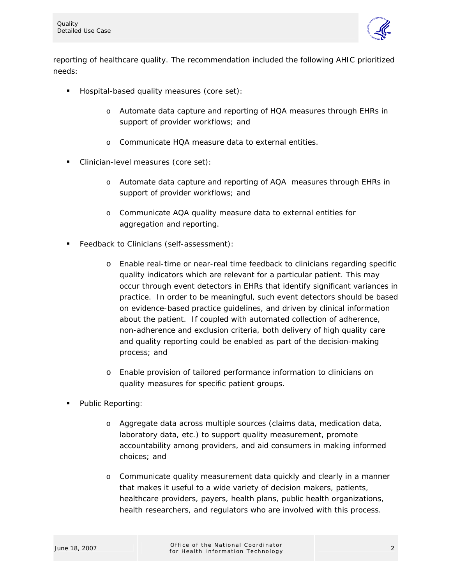

reporting of healthcare quality. The recommendation included the following AHIC prioritized needs:

- **Hospital-based quality measures (core set):** 
	- o Automate data capture and reporting of HQA measures through EHRs in support of provider workflows; and
	- o Communicate HQA measure data to external entities.
- Clinician-level measures (core set):
	- o Automate data capture and reporting of AQA measures through EHRs in support of provider workflows; and
	- o Communicate AQA quality measure data to external entities for aggregation and reporting.
- Feedback to Clinicians (self-assessment):
	- o Enable real-time or near-real time feedback to clinicians regarding specific quality indicators which are relevant for a particular patient. This may occur through event detectors in EHRs that identify significant variances in practice. In order to be meaningful, such event detectors should be based on evidence-based practice guidelines, and driven by clinical information about the patient. If coupled with automated collection of adherence, non-adherence and exclusion criteria, both delivery of high quality care and quality reporting could be enabled as part of the decision-making process; and
	- o Enable provision of tailored performance information to clinicians on quality measures for specific patient groups.
- Public Reporting:
	- o Aggregate data across multiple sources (claims data, medication data, laboratory data, etc.) to support quality measurement, promote accountability among providers, and aid consumers in making informed choices; and
	- o Communicate quality measurement data quickly and clearly in a manner that makes it useful to a wide variety of decision makers, patients, healthcare providers, payers, health plans, public health organizations, health researchers, and regulators who are involved with this process.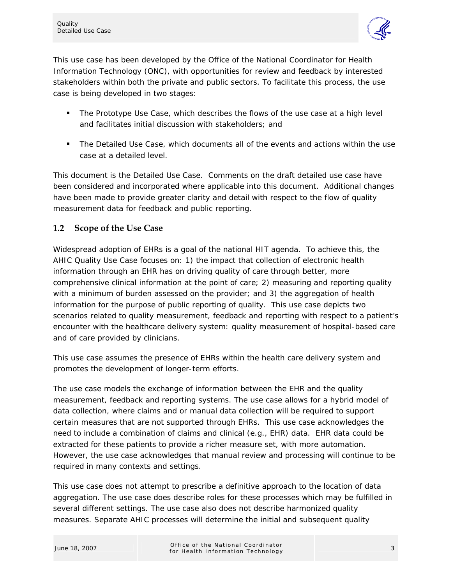

This use case has been developed by the Office of the National Coordinator for Health Information Technology (ONC), with opportunities for review and feedback by interested stakeholders within both the private and public sectors. To facilitate this process, the use case is being developed in two stages:

- **The Prototype Use Case, which describes the flows of the use case at a high level** and facilitates initial discussion with stakeholders; and
- The Detailed Use Case, which documents all of the events and actions within the use case at a detailed level.

This document is the Detailed Use Case. Comments on the draft detailed use case have been considered and incorporated where applicable into this document. Additional changes have been made to provide greater clarity and detail with respect to the flow of quality measurement data for feedback and public reporting.

#### **1.2 Scope of the Use Case**

Widespread adoption of EHRs is a goal of the national HIT agenda. To achieve this, the AHIC Quality Use Case focuses on: 1) the impact that collection of electronic health information through an EHR has on driving quality of care through better, more comprehensive clinical information at the point of care; 2) measuring and reporting quality with a minimum of burden assessed on the provider; and 3) the aggregation of health information for the purpose of public reporting of quality. This use case depicts two scenarios related to quality measurement, feedback and reporting with respect to a patient's encounter with the healthcare delivery system: quality measurement of hospital-based care and of care provided by clinicians.

This use case assumes the presence of EHRs within the health care delivery system and promotes the development of longer-term efforts.

The use case models the exchange of information between the EHR and the quality measurement, feedback and reporting systems. The use case allows for a hybrid model of data collection, where claims and or manual data collection will be required to support certain measures that are not supported through EHRs. This use case acknowledges the need to include a combination of claims and clinical (e.g., EHR) data. EHR data could be extracted for these patients to provide a richer measure set, with more automation. However, the use case acknowledges that manual review and processing will continue to be required in many contexts and settings.

This use case does not attempt to prescribe a definitive approach to the location of data aggregation. The use case does describe roles for these processes which may be fulfilled in several different settings. The use case also does not describe harmonized quality measures. Separate AHIC processes will determine the initial and subsequent quality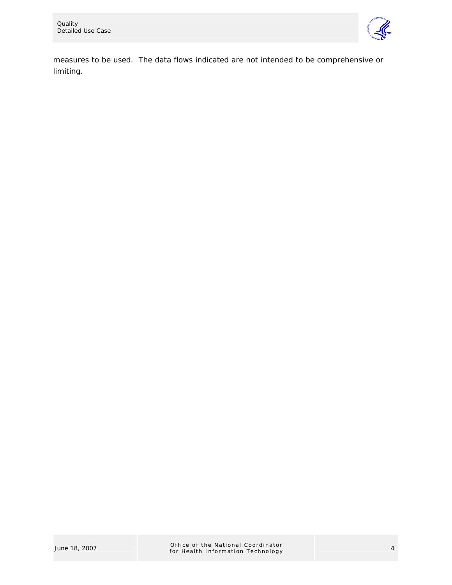

measures to be used. The data flows indicated are not intended to be comprehensive or limiting.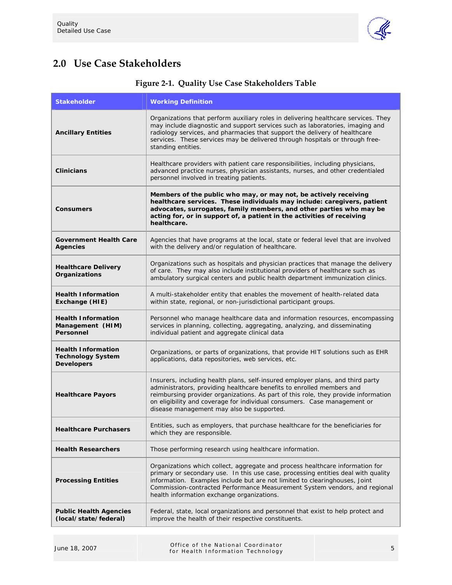

# **2.0 Use Case Stakeholders**

| <b>Stakeholder</b>                                                         | <b>Working Definition</b>                                                                                                                                                                                                                                                                                                                                                    |
|----------------------------------------------------------------------------|------------------------------------------------------------------------------------------------------------------------------------------------------------------------------------------------------------------------------------------------------------------------------------------------------------------------------------------------------------------------------|
| <b>Ancillary Entities</b>                                                  | Organizations that perform auxiliary roles in delivering healthcare services. They<br>may include diagnostic and support services such as laboratories, imaging and<br>radiology services, and pharmacies that support the delivery of healthcare<br>services. These services may be delivered through hospitals or through free-<br>standing entities.                      |
| <b>Clinicians</b>                                                          | Healthcare providers with patient care responsibilities, including physicians,<br>advanced practice nurses, physician assistants, nurses, and other credentialed<br>personnel involved in treating patients.                                                                                                                                                                 |
| <b>Consumers</b>                                                           | Members of the public who may, or may not, be actively receiving<br>healthcare services. These individuals may include: caregivers, patient<br>advocates, surrogates, family members, and other parties who may be<br>acting for, or in support of, a patient in the activities of receiving<br>healthcare.                                                                  |
| <b>Government Health Care</b><br><b>Agencies</b>                           | Agencies that have programs at the local, state or federal level that are involved<br>with the delivery and/or regulation of healthcare.                                                                                                                                                                                                                                     |
| <b>Healthcare Delivery</b><br>Organizations                                | Organizations such as hospitals and physician practices that manage the delivery<br>of care. They may also include institutional providers of healthcare such as<br>ambulatory surgical centers and public health department immunization clinics.                                                                                                                           |
| <b>Health Information</b><br>Exchange (HIE)                                | A multi-stakeholder entity that enables the movement of health-related data<br>within state, regional, or non-jurisdictional participant groups.                                                                                                                                                                                                                             |
| <b>Health Information</b><br>Management (HIM)<br>Personnel                 | Personnel who manage healthcare data and information resources, encompassing<br>services in planning, collecting, aggregating, analyzing, and disseminating<br>individual patient and aggregate clinical data                                                                                                                                                                |
| <b>Health Information</b><br><b>Technology System</b><br><b>Developers</b> | Organizations, or parts of organizations, that provide HIT solutions such as EHR<br>applications, data repositories, web services, etc.                                                                                                                                                                                                                                      |
| <b>Healthcare Payors</b>                                                   | Insurers, including health plans, self-insured employer plans, and third party<br>administrators, providing healthcare benefits to enrolled members and<br>reimbursing provider organizations. As part of this role, they provide information<br>on eligibility and coverage for individual consumers. Case management or<br>disease management may also be supported.       |
| <b>Healthcare Purchasers</b>                                               | Entities, such as employers, that purchase healthcare for the beneficiaries for<br>which they are responsible.                                                                                                                                                                                                                                                               |
| <b>Health Researchers</b>                                                  | Those performing research using healthcare information.                                                                                                                                                                                                                                                                                                                      |
| <b>Processing Entities</b>                                                 | Organizations which collect, aggregate and process healthcare information for<br>primary or secondary use. In this use case, processing entities deal with quality<br>information. Examples include but are not limited to clearinghouses, Joint<br>Commission-contracted Performance Measurement System vendors, and regional<br>health information exchange organizations. |
| <b>Public Health Agencies</b><br>(local/state/federal)                     | Federal, state, local organizations and personnel that exist to help protect and<br>improve the health of their respective constituents.                                                                                                                                                                                                                                     |

## **Figure 2-1. Quality Use Case Stakeholders Table**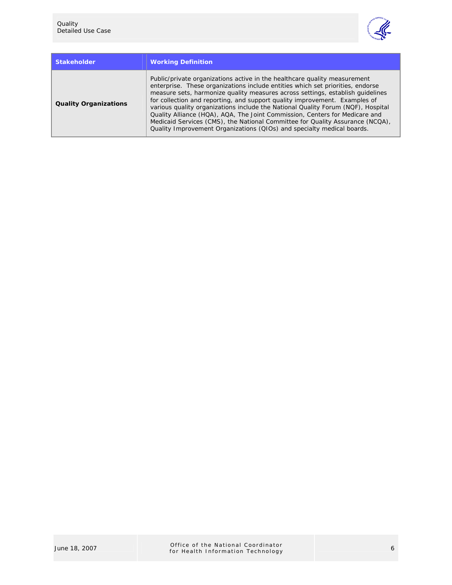

| <b>Stakeholder</b>           | <b>Working Definition</b>                                                                                                                                                                                                                                                                                                                                                                                                                                                                                                                                                                                                                                 |
|------------------------------|-----------------------------------------------------------------------------------------------------------------------------------------------------------------------------------------------------------------------------------------------------------------------------------------------------------------------------------------------------------------------------------------------------------------------------------------------------------------------------------------------------------------------------------------------------------------------------------------------------------------------------------------------------------|
| <b>Quality Organizations</b> | Public/private organizations active in the healthcare quality measurement<br>enterprise. These organizations include entities which set priorities, endorse<br>measure sets, harmonize quality measures across settings, establish quidelines<br>for collection and reporting, and support quality improvement. Examples of<br>various quality organizations include the National Quality Forum (NQF), Hospital<br>Quality Alliance (HQA), AQA, The Joint Commission, Centers for Medicare and<br>Medicaid Services (CMS), the National Committee for Quality Assurance (NCQA),<br>Quality Improvement Organizations (QIOs) and specialty medical boards. |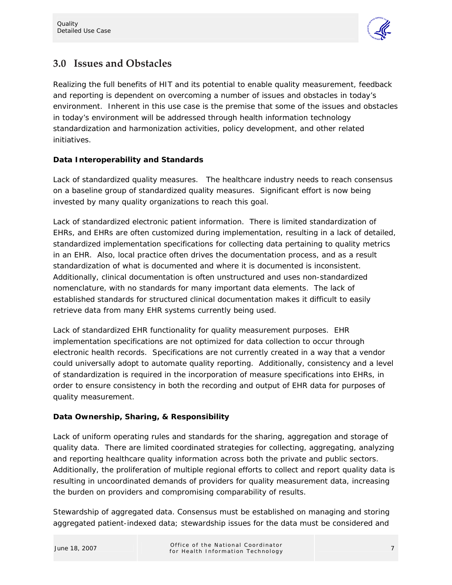

# **3.0 Issues and Obstacles**

Realizing the full benefits of HIT and its potential to enable quality measurement, feedback and reporting is dependent on overcoming a number of issues and obstacles in today's environment. Inherent in this use case is the premise that some of the issues and obstacles in today's environment will be addressed through health information technology standardization and harmonization activities, policy development, and other related initiatives.

#### **Data Interoperability and Standards**

*Lack of standardized quality measures.* The healthcare industry needs to reach consensus on a baseline group of standardized quality measures. Significant effort is now being invested by many quality organizations to reach this goal.

*Lack of standardized electronic patient information.* There is limited standardization of EHRs, and EHRs are often customized during implementation, resulting in a lack of detailed, standardized implementation specifications for collecting data pertaining to quality metrics in an EHR. Also, local practice often drives the documentation process, and as a result standardization of what is documented and where it is documented is inconsistent. Additionally, clinical documentation is often unstructured and uses non-standardized nomenclature, with no standards for many important data elements. The lack of established standards for structured clinical documentation makes it difficult to easily retrieve data from many EHR systems currently being used.

*Lack of standardized EHR functionality for quality measurement purposes.* EHR implementation specifications are not optimized for data collection to occur through electronic health records. Specifications are not currently created in a way that a vendor could universally adopt to automate quality reporting. Additionally, consistency and a level of standardization is required in the incorporation of measure specifications into EHRs, in order to ensure consistency in both the recording and output of EHR data for purposes of quality measurement.

#### **Data Ownership, Sharing, & Responsibility**

Lack of uniform operating rules and standards for the sharing, aggregation and storage of *quality data.* There are limited coordinated strategies for collecting, aggregating, analyzing and reporting healthcare quality information across both the private and public sectors. Additionally, the proliferation of multiple regional efforts to collect and report quality data is resulting in uncoordinated demands of providers for quality measurement data, increasing the burden on providers and compromising comparability of results.

*Stewardship of aggregated data.* Consensus must be established on managing and storing aggregated patient-indexed data; stewardship issues for the data must be considered and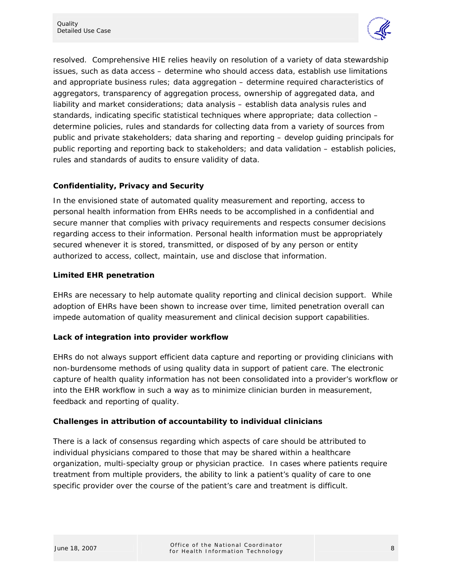

resolved. Comprehensive HIE relies heavily on resolution of a variety of data stewardship issues, such as data access – determine who should access data, establish use limitations and appropriate business rules; data aggregation – determine required characteristics of aggregators, transparency of aggregation process, ownership of aggregated data, and liability and market considerations; data analysis – establish data analysis rules and standards, indicating specific statistical techniques where appropriate; data collection – determine policies, rules and standards for collecting data from a variety of sources from public and private stakeholders; data sharing and reporting – develop guiding principals for public reporting and reporting back to stakeholders; and data validation – establish policies, rules and standards of audits to ensure validity of data.

#### **Confidentiality, Privacy and Security**

In the envisioned state of automated quality measurement and reporting, access to personal health information from EHRs needs to be accomplished in a confidential and secure manner that complies with privacy requirements and respects consumer decisions regarding access to their information. Personal health information must be appropriately secured whenever it is stored, transmitted, or disposed of by any person or entity authorized to access, collect, maintain, use and disclose that information.

#### **Limited EHR penetration**

EHRs are necessary to help automate quality reporting and clinical decision support. While adoption of EHRs have been shown to increase over time, limited penetration overall can impede automation of quality measurement and clinical decision support capabilities.

#### **Lack of integration into provider workflow**

EHRs do not always support efficient data capture and reporting or providing clinicians with non-burdensome methods of using quality data in support of patient care. The electronic capture of health quality information has not been consolidated into a provider's workflow or into the EHR workflow in such a way as to minimize clinician burden in measurement, feedback and reporting of quality.

#### **Challenges in attribution of accountability to individual clinicians**

There is a lack of consensus regarding which aspects of care should be attributed to individual physicians compared to those that may be shared within a healthcare organization, multi-specialty group or physician practice. In cases where patients require treatment from multiple providers, the ability to link a patient's quality of care to one specific provider over the course of the patient's care and treatment is difficult.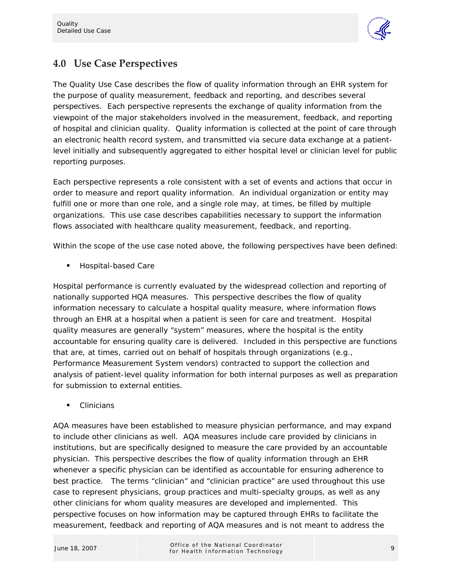

# **4.0 Use Case Perspectives**

The Quality Use Case describes the flow of quality information through an EHR system for the purpose of quality measurement, feedback and reporting, and describes several perspectives. Each perspective represents the exchange of quality information from the viewpoint of the major stakeholders involved in the measurement, feedback, and reporting of hospital and clinician quality. Quality information is collected at the point of care through an electronic health record system, and transmitted via secure data exchange at a patientlevel initially and subsequently aggregated to either hospital level or clinician level for public reporting purposes.

Each perspective represents a role consistent with a set of events and actions that occur in order to measure and report quality information. An individual organization or entity may fulfill one or more than one role, and a single role may, at times, be filled by multiple organizations. This use case describes capabilities necessary to support the information flows associated with healthcare quality measurement, feedback, and reporting.

Within the scope of the use case noted above, the following perspectives have been defined:

*Hospital-based Care* 

Hospital performance is currently evaluated by the widespread collection and reporting of nationally supported HQA measures. This perspective describes the flow of quality information necessary to calculate a hospital quality measure, where information flows through an EHR at a hospital when a patient is seen for care and treatment. Hospital quality measures are generally "system" measures, where the hospital is the entity accountable for ensuring quality care is delivered. Included in this perspective are functions that are, at times, carried out on behalf of hospitals through organizations (e.g., Performance Measurement System vendors) contracted to support the collection and analysis of patient-level quality information for both internal purposes as well as preparation for submission to external entities.

*Clinicians* 

AQA measures have been established to measure physician performance, and may expand to include other clinicians as well. AQA measures include care provided by clinicians in institutions, but are specifically designed to measure the care provided by an accountable physician. This perspective describes the flow of quality information through an EHR whenever a specific physician can be identified as accountable for ensuring adherence to best practice. The terms "clinician" and "clinician practice" are used throughout this use case to represent physicians, group practices and multi-specialty groups, as well as any other clinicians for whom quality measures are developed and implemented. This perspective focuses on how information may be captured through EHRs to facilitate the measurement, feedback and reporting of AQA measures and is not meant to address the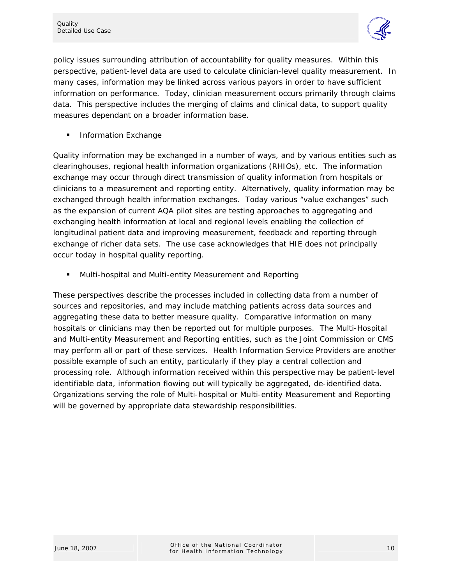

policy issues surrounding attribution of accountability for quality measures. Within this perspective, patient-level data are used to calculate clinician-level quality measurement. In many cases, information may be linked across various payors in order to have sufficient information on performance. Today, clinician measurement occurs primarily through claims data. This perspective includes the merging of claims and clinical data, to support quality measures dependant on a broader information base.

*Information Exchange* 

Quality information may be exchanged in a number of ways, and by various entities such as clearinghouses, regional health information organizations (RHIOs), etc. The information exchange may occur through direct transmission of quality information from hospitals or clinicians to a measurement and reporting entity. Alternatively, quality information may be exchanged through health information exchanges. Today various "value exchanges" such as the expansion of current AQA pilot sites are testing approaches to aggregating and exchanging health information at local and regional levels enabling the collection of longitudinal patient data and improving measurement, feedback and reporting through exchange of richer data sets. The use case acknowledges that HIE does not principally occur today in hospital quality reporting.

*Multi-hospital and Multi-entity Measurement and Reporting* 

These perspectives describe the processes included in collecting data from a number of sources and repositories, and may include matching patients across data sources and aggregating these data to better measure quality. Comparative information on many hospitals or clinicians may then be reported out for multiple purposes. The Multi-Hospital and Multi-entity Measurement and Reporting entities, such as the Joint Commission or CMS may perform all or part of these services. Health Information Service Providers are another possible example of such an entity, particularly if they play a central collection and processing role. Although information received within this perspective may be patient-level identifiable data, information flowing out will typically be aggregated, de-identified data. Organizations serving the role of Multi-hospital or Multi-entity Measurement and Reporting will be governed by appropriate data stewardship responsibilities.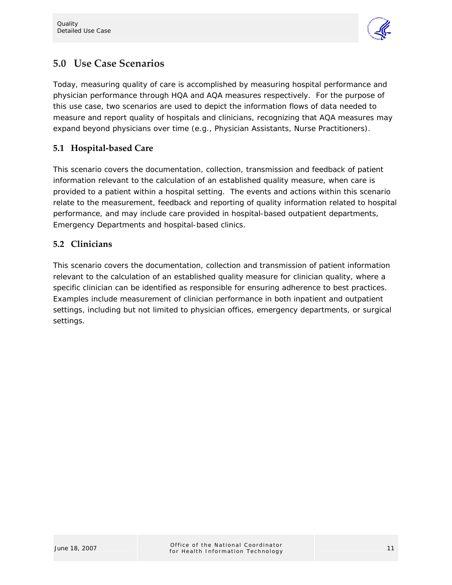

# **5.0 Use Case Scenarios**

Today, measuring quality of care is accomplished by measuring hospital performance and physician performance through HQA and AQA measures respectively. For the purpose of this use case, two scenarios are used to depict the information flows of data needed to measure and report quality of hospitals and clinicians, recognizing that AQA measures may expand beyond physicians over time (e.g., Physician Assistants, Nurse Practitioners).

## **5.1 Hospital-based Care**

This scenario covers the documentation, collection, transmission and feedback of patient information relevant to the calculation of an established quality measure, when care is provided to a patient within a hospital setting. The events and actions within this scenario relate to the measurement, feedback and reporting of quality information related to hospital performance, and may include care provided in hospital-based outpatient departments, Emergency Departments and hospital-based clinics.

## **5.2 Clinicians**

This scenario covers the documentation, collection and transmission of patient information relevant to the calculation of an established quality measure for clinician quality, where a specific clinician can be identified as responsible for ensuring adherence to best practices. Examples include measurement of clinician performance in both inpatient and outpatient settings, including but not limited to physician offices, emergency departments, or surgical settings.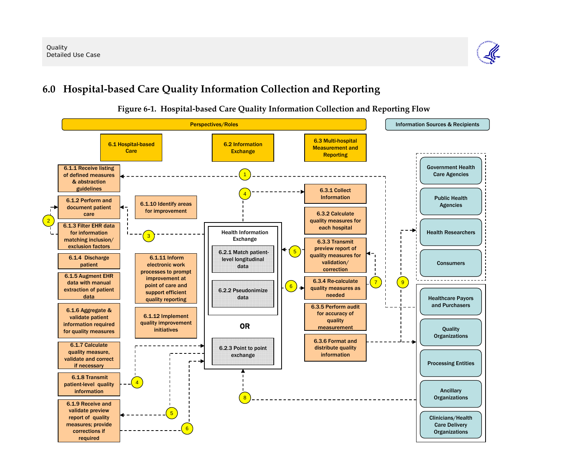

# **6.0 Hospital-based Care Quality Information Collection and Reporting**



### **Figure 6-1. Hospital-based Care Quality Information Collection and Reporting Flow**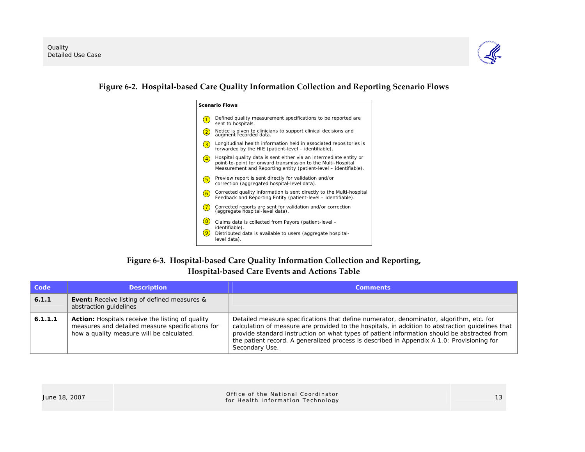

#### **Figure 6-2. Hospital-based Care Quality Information Collection and Reporting Scenario Flows**

| <b>Scenario Flows</b> |                                                                                                                                                                                                        |  |
|-----------------------|--------------------------------------------------------------------------------------------------------------------------------------------------------------------------------------------------------|--|
| $\overline{1}$        | Defined quality measurement specifications to be reported are<br>sent to hospitals.                                                                                                                    |  |
| $\boxed{2}$           | Notice is given to clinicians to support clinical decisions and<br>augment recorded data.                                                                                                              |  |
| 3                     | Longitudinal health information held in associated repositories is<br>forwarded by the HIE (patient-level - identifiable).                                                                             |  |
| $\overline{4}$        | Hospital quality data is sent either via an intermediate entity or<br>point-to-point for onward transmission to the Multi-Hospital<br>Measurement and Reporting entity (patient-level – identifiable). |  |
| $\left(5\right)$      | Preview report is sent directly for validation and/or<br>correction (aggregated hospital-level data).                                                                                                  |  |
| 6                     | Corrected quality information is sent directly to the Multi-hospital<br>Feedback and Reporting Entity (patient-level – identifiable).                                                                  |  |
| $\overline{7}$        | Corrected reports are sent for validation and/or correction<br>(aggregate hospital-level data).                                                                                                        |  |
| 8<br>9                | Claims data is collected from Payors (patient-level -<br>identifiable).<br>Distributed data is available to users (aggregate hospital-<br>level data).                                                 |  |

## **Figure 6-3. Hospital-based Care Quality Information Collection and Reporting, Hospital-based Care Events and Actions Table**

| Code    | <b>Description</b>                                                                                                                                       | <b>Comments</b>                                                                                                                                                                                                                                                                                                                                                                                            |
|---------|----------------------------------------------------------------------------------------------------------------------------------------------------------|------------------------------------------------------------------------------------------------------------------------------------------------------------------------------------------------------------------------------------------------------------------------------------------------------------------------------------------------------------------------------------------------------------|
| 6.1.1   | <b>Event:</b> Receive listing of defined measures &<br>abstraction guidelines                                                                            |                                                                                                                                                                                                                                                                                                                                                                                                            |
| 6.1.1.1 | <b>Action:</b> Hospitals receive the listing of quality<br>measures and detailed measure specifications for<br>how a quality measure will be calculated. | Detailed measure specifications that define numerator, denominator, algorithm, etc. for<br>calculation of measure are provided to the hospitals, in addition to abstraction guidelines that<br>provide standard instruction on what types of patient information should be abstracted from<br>the patient record. A generalized process is described in Appendix A 1.0: Provisioning for<br>Secondary Use. |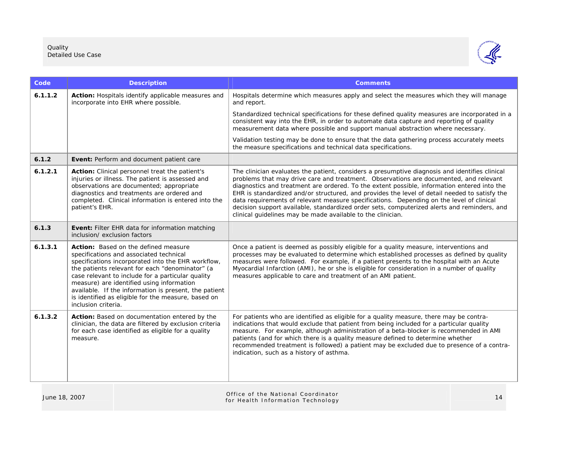

| Code    | <b>Description</b>                                                                                                                                                                                                                                                                                                                                                                                                                | <b>Comments</b>                                                                                                                                                                                                                                                                                                                                                                                                                                                                                                                                                                                                                                   |
|---------|-----------------------------------------------------------------------------------------------------------------------------------------------------------------------------------------------------------------------------------------------------------------------------------------------------------------------------------------------------------------------------------------------------------------------------------|---------------------------------------------------------------------------------------------------------------------------------------------------------------------------------------------------------------------------------------------------------------------------------------------------------------------------------------------------------------------------------------------------------------------------------------------------------------------------------------------------------------------------------------------------------------------------------------------------------------------------------------------------|
| 6.1.1.2 | Action: Hospitals identify applicable measures and<br>incorporate into EHR where possible.                                                                                                                                                                                                                                                                                                                                        | Hospitals determine which measures apply and select the measures which they will manage<br>and report.                                                                                                                                                                                                                                                                                                                                                                                                                                                                                                                                            |
|         |                                                                                                                                                                                                                                                                                                                                                                                                                                   | Standardized technical specifications for these defined quality measures are incorporated in a<br>consistent way into the EHR, in order to automate data capture and reporting of quality<br>measurement data where possible and support manual abstraction where necessary.                                                                                                                                                                                                                                                                                                                                                                      |
|         |                                                                                                                                                                                                                                                                                                                                                                                                                                   | Validation testing may be done to ensure that the data gathering process accurately meets<br>the measure specifications and technical data specifications.                                                                                                                                                                                                                                                                                                                                                                                                                                                                                        |
| 6.1.2   | Event: Perform and document patient care                                                                                                                                                                                                                                                                                                                                                                                          |                                                                                                                                                                                                                                                                                                                                                                                                                                                                                                                                                                                                                                                   |
| 6.1.2.1 | Action: Clinical personnel treat the patient's<br>injuries or illness. The patient is assessed and<br>observations are documented; appropriate<br>diagnostics and treatments are ordered and<br>completed. Clinical information is entered into the<br>patient's EHR.                                                                                                                                                             | The clinician evaluates the patient, considers a presumptive diagnosis and identifies clinical<br>problems that may drive care and treatment. Observations are documented, and relevant<br>diagnostics and treatment are ordered. To the extent possible, information entered into the<br>EHR is standardized and/or structured, and provides the level of detail needed to satisfy the<br>data requirements of relevant measure specifications. Depending on the level of clinical<br>decision support available, standardized order sets, computerized alerts and reminders, and<br>clinical quidelines may be made available to the clinician. |
| 6.1.3   | Event: Filter EHR data for information matching<br>inclusion/ exclusion factors                                                                                                                                                                                                                                                                                                                                                   |                                                                                                                                                                                                                                                                                                                                                                                                                                                                                                                                                                                                                                                   |
| 6.1.3.1 | Action: Based on the defined measure<br>specifications and associated technical<br>specifications incorporated into the EHR workflow,<br>the patients relevant for each "denominator" (a<br>case relevant to include for a particular quality<br>measure) are identified using information<br>available. If the information is present, the patient<br>is identified as eligible for the measure, based on<br>inclusion criteria. | Once a patient is deemed as possibly eligible for a quality measure, interventions and<br>processes may be evaluated to determine which established processes as defined by quality<br>measures were followed. For example, if a patient presents to the hospital with an Acute<br>Myocardial Infarction (AMI), he or she is eligible for consideration in a number of quality<br>measures applicable to care and treatment of an AMI patient.                                                                                                                                                                                                    |
| 6.1.3.2 | Action: Based on documentation entered by the<br>clinician, the data are filtered by exclusion criteria<br>for each case identified as eligible for a quality<br>measure.                                                                                                                                                                                                                                                         | For patients who are identified as eligible for a quality measure, there may be contra-<br>indications that would exclude that patient from being included for a particular quality<br>measure. For example, although administration of a beta-blocker is recommended in AMI<br>patients (and for which there is a quality measure defined to determine whether<br>recommended treatment is followed) a patient may be excluded due to presence of a contra-<br>indication, such as a history of asthma.                                                                                                                                          |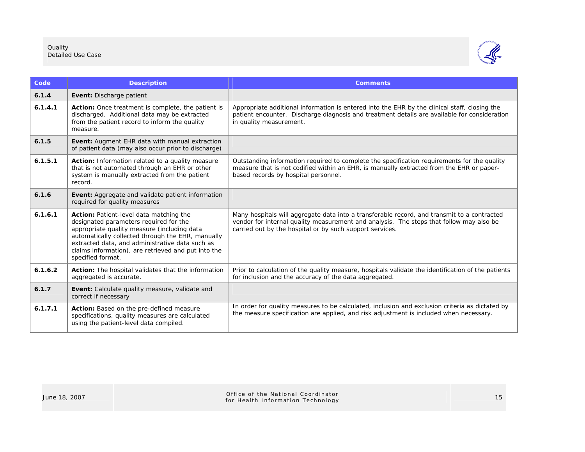

| Code    | <b>Description</b>                                                                                                                                                                                                                                                                                                   | <b>Comments</b>                                                                                                                                                                                                                                    |
|---------|----------------------------------------------------------------------------------------------------------------------------------------------------------------------------------------------------------------------------------------------------------------------------------------------------------------------|----------------------------------------------------------------------------------------------------------------------------------------------------------------------------------------------------------------------------------------------------|
| 6.1.4   | Event: Discharge patient                                                                                                                                                                                                                                                                                             |                                                                                                                                                                                                                                                    |
| 6.1.4.1 | Action: Once treatment is complete, the patient is<br>discharged. Additional data may be extracted<br>from the patient record to inform the quality<br>measure.                                                                                                                                                      | Appropriate additional information is entered into the EHR by the clinical staff, closing the<br>patient encounter. Discharge diagnosis and treatment details are available for consideration<br>in quality measurement.                           |
| 6.1.5   | <b>Event:</b> Augment EHR data with manual extraction<br>of patient data (may also occur prior to discharge)                                                                                                                                                                                                         |                                                                                                                                                                                                                                                    |
| 6.1.5.1 | Action: Information related to a quality measure<br>that is not automated through an EHR or other<br>system is manually extracted from the patient<br>record.                                                                                                                                                        | Outstanding information required to complete the specification requirements for the quality<br>measure that is not codified within an EHR, is manually extracted from the EHR or paper-<br>based records by hospital personnel.                    |
| 6.1.6   | <b>Event:</b> Aggregate and validate patient information<br>required for quality measures                                                                                                                                                                                                                            |                                                                                                                                                                                                                                                    |
| 6.1.6.1 | Action: Patient-level data matching the<br>designated parameters required for the<br>appropriate quality measure (including data<br>automatically collected through the EHR, manually<br>extracted data, and administrative data such as<br>claims information), are retrieved and put into the<br>specified format. | Many hospitals will aggregate data into a transferable record, and transmit to a contracted<br>vendor for internal quality measurement and analysis. The steps that follow may also be<br>carried out by the hospital or by such support services. |
| 6.1.6.2 | Action: The hospital validates that the information<br>aggregated is accurate.                                                                                                                                                                                                                                       | Prior to calculation of the quality measure, hospitals validate the identification of the patients<br>for inclusion and the accuracy of the data aggregated.                                                                                       |
| 6.1.7   | Event: Calculate quality measure, validate and<br>correct if necessary                                                                                                                                                                                                                                               |                                                                                                                                                                                                                                                    |
| 6.1.7.1 | Action: Based on the pre-defined measure<br>specifications, quality measures are calculated<br>using the patient-level data compiled.                                                                                                                                                                                | In order for quality measures to be calculated, inclusion and exclusion criteria as dictated by<br>the measure specification are applied, and risk adjustment is included when necessary.                                                          |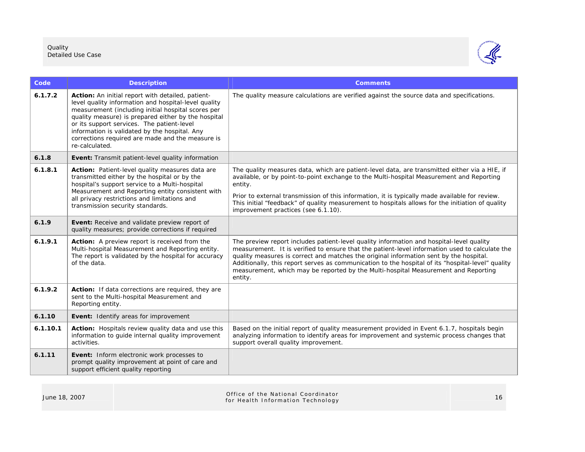

| Code     | <b>Description</b>                                                                                                                                                                                                                                                                                                                                                                          | <b>Comments</b>                                                                                                                                                                                                                                                                                                                                                                                                                                                                            |
|----------|---------------------------------------------------------------------------------------------------------------------------------------------------------------------------------------------------------------------------------------------------------------------------------------------------------------------------------------------------------------------------------------------|--------------------------------------------------------------------------------------------------------------------------------------------------------------------------------------------------------------------------------------------------------------------------------------------------------------------------------------------------------------------------------------------------------------------------------------------------------------------------------------------|
| 6.1.7.2  | Action: An initial report with detailed, patient-<br>level quality information and hospital-level quality<br>measurement (including initial hospital scores per<br>quality measure) is prepared either by the hospital<br>or its support services. The patient-level<br>information is validated by the hospital. Any<br>corrections required are made and the measure is<br>re-calculated. | The quality measure calculations are verified against the source data and specifications.                                                                                                                                                                                                                                                                                                                                                                                                  |
| 6.1.8    | Event: Transmit patient-level quality information                                                                                                                                                                                                                                                                                                                                           |                                                                                                                                                                                                                                                                                                                                                                                                                                                                                            |
| 6.1.8.1  | Action: Patient-level quality measures data are<br>transmitted either by the hospital or by the<br>hospital's support service to a Multi-hospital<br>Measurement and Reporting entity consistent with<br>all privacy restrictions and limitations and<br>transmission security standards.                                                                                                   | The quality measures data, which are patient-level data, are transmitted either via a HIE, if<br>available, or by point-to-point exchange to the Multi-hospital Measurement and Reporting<br>entity.<br>Prior to external transmission of this information, it is typically made available for review.<br>This initial "feedback" of quality measurement to hospitals allows for the initiation of quality<br>improvement practices (see 6.1.10).                                          |
| 6.1.9    | Event: Receive and validate preview report of<br>quality measures; provide corrections if required                                                                                                                                                                                                                                                                                          |                                                                                                                                                                                                                                                                                                                                                                                                                                                                                            |
| 6.1.9.1  | Action: A preview report is received from the<br>Multi-hospital Measurement and Reporting entity.<br>The report is validated by the hospital for accuracy<br>of the data.                                                                                                                                                                                                                   | The preview report includes patient-level quality information and hospital-level quality<br>measurement. It is verified to ensure that the patient-level information used to calculate the<br>quality measures is correct and matches the original information sent by the hospital.<br>Additionally, this report serves as communication to the hospital of its "hospital-level" quality<br>measurement, which may be reported by the Multi-hospital Measurement and Reporting<br>entity. |
| 6.1.9.2  | Action: If data corrections are required, they are<br>sent to the Multi-hospital Measurement and<br>Reporting entity.                                                                                                                                                                                                                                                                       |                                                                                                                                                                                                                                                                                                                                                                                                                                                                                            |
| 6.1.10   | Event: Identify areas for improvement                                                                                                                                                                                                                                                                                                                                                       |                                                                                                                                                                                                                                                                                                                                                                                                                                                                                            |
| 6.1.10.1 | Action: Hospitals review quality data and use this<br>information to guide internal quality improvement<br>activities.                                                                                                                                                                                                                                                                      | Based on the initial report of quality measurement provided in Event 6.1.7, hospitals begin<br>analyzing information to identify areas for improvement and systemic process changes that<br>support overall quality improvement.                                                                                                                                                                                                                                                           |
| 6.1.11   | Event: Inform electronic work processes to<br>prompt quality improvement at point of care and<br>support efficient quality reporting                                                                                                                                                                                                                                                        |                                                                                                                                                                                                                                                                                                                                                                                                                                                                                            |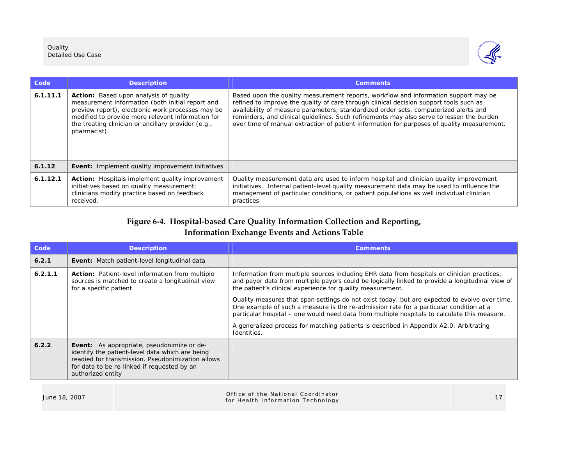

| Code     | <b>Description</b>                                                                                                                                                                                                                                                                 | <b>Comments</b>                                                                                                                                                                                                                                                                                                                                                                                                                                                 |
|----------|------------------------------------------------------------------------------------------------------------------------------------------------------------------------------------------------------------------------------------------------------------------------------------|-----------------------------------------------------------------------------------------------------------------------------------------------------------------------------------------------------------------------------------------------------------------------------------------------------------------------------------------------------------------------------------------------------------------------------------------------------------------|
| 6.1.11.1 | <b>Action:</b> Based upon analysis of quality<br>measurement information (both initial report and<br>preview report), electronic work processes may be<br>modified to provide more relevant information for<br>the treating clinician or ancillary provider (e.g.,<br>pharmacist). | Based upon the quality measurement reports, workflow and information support may be<br>refined to improve the quality of care through clinical decision support tools such as<br>availability of measure parameters, standardized order sets, computerized alerts and<br>reminders, and clinical guidelines. Such refinements may also serve to lessen the burden<br>over time of manual extraction of patient information for purposes of quality measurement. |
| 6.1.12   | Event: Implement quality improvement initiatives                                                                                                                                                                                                                                   |                                                                                                                                                                                                                                                                                                                                                                                                                                                                 |
| 6.1.12.1 | Action: Hospitals implement quality improvement<br>initiatives based on quality measurement;<br>clinicians modify practice based on feedback<br>received.                                                                                                                          | Quality measurement data are used to inform hospital and clinician quality improvement<br>initiatives. Internal patient-level quality measurement data may be used to influence the<br>management of particular conditions, or patient populations as well individual clinician<br>practices.                                                                                                                                                                   |

## **Figure 6-4. Hospital-based Care Quality Information Collection and Reporting, Information Exchange Events and Actions Table**

| Code    | <b>Description</b>                                                                                                                                                                                                            | <b>Comments</b>                                                                                                                                                                                                                                                                         |
|---------|-------------------------------------------------------------------------------------------------------------------------------------------------------------------------------------------------------------------------------|-----------------------------------------------------------------------------------------------------------------------------------------------------------------------------------------------------------------------------------------------------------------------------------------|
| 6.2.1   | Event: Match patient-level longitudinal data                                                                                                                                                                                  |                                                                                                                                                                                                                                                                                         |
| 6.2.1.1 | <b>Action:</b> Patient-level information from multiple<br>sources is matched to create a longitudinal view<br>for a specific patient.                                                                                         | Information from multiple sources including EHR data from hospitals or clinician practices,<br>and payor data from multiple payors could be logically linked to provide a longitudinal view of<br>the patient's clinical experience for quality measurement.                            |
|         |                                                                                                                                                                                                                               | Quality measures that span settings do not exist today, but are expected to evolve over time.<br>One example of such a measure is the re-admission rate for a particular condition at a<br>particular hospital – one would need data from multiple hospitals to calculate this measure. |
|         |                                                                                                                                                                                                                               | A generalized process for matching patients is described in Appendix A2.0: Arbitrating<br>Identities.                                                                                                                                                                                   |
| 6.2.2   | <b>Event:</b> As appropriate, pseudonimize or de-<br>identify the patient-level data which are being<br>readied for transmission. Pseudonimization allows<br>for data to be re-linked if requested by an<br>authorized entity |                                                                                                                                                                                                                                                                                         |
|         |                                                                                                                                                                                                                               |                                                                                                                                                                                                                                                                                         |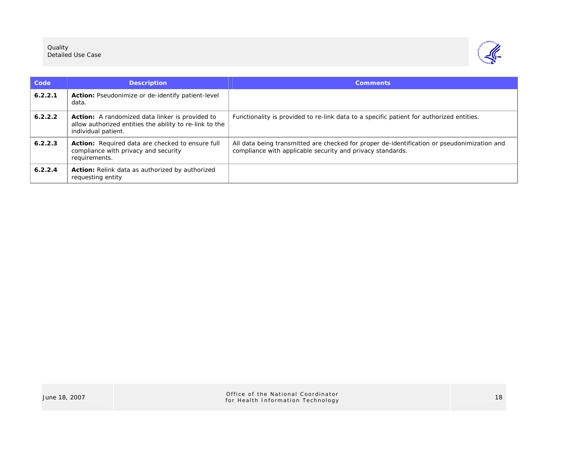

| Code    | <b>Description</b>                                                                                                                       | <b>Comments</b>                                                                                                                                           |
|---------|------------------------------------------------------------------------------------------------------------------------------------------|-----------------------------------------------------------------------------------------------------------------------------------------------------------|
| 6.2.2.1 | <b>Action:</b> Pseudonimize or de-identify patient-level<br>data.                                                                        |                                                                                                                                                           |
| 6.2.2.2 | <b>Action:</b> A randomized data linker is provided to<br>allow authorized entities the ability to re-link to the<br>individual patient. | Functionality is provided to re-link data to a specific patient for authorized entities.                                                                  |
| 6.2.2.3 | <b>Action:</b> Required data are checked to ensure full<br>compliance with privacy and security<br>requirements.                         | All data being transmitted are checked for proper de-identification or pseudonimization and<br>compliance with applicable security and privacy standards. |
| 6.2.2.4 | <b>Action:</b> Relink data as authorized by authorized<br>requesting entity                                                              |                                                                                                                                                           |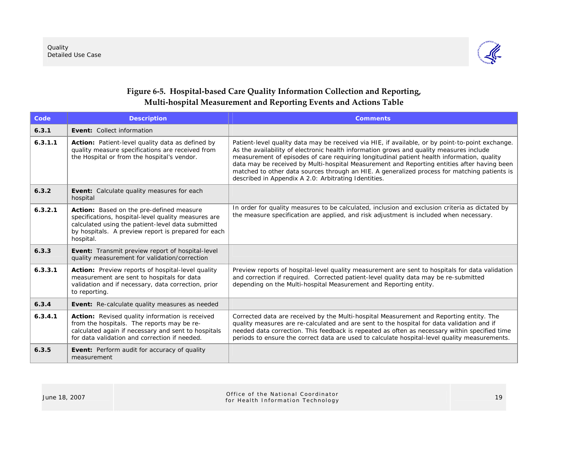

## **Figure 6-5. Hospital-based Care Quality Information Collection and Reporting, Multi-hospital Measurement and Reporting Events and Actions Table**

| Code    | <b>Description</b>                                                                                                                                                                                                       | <b>Comments</b>                                                                                                                                                                                                                                                                                                                                                                                                                                                                                                                                  |
|---------|--------------------------------------------------------------------------------------------------------------------------------------------------------------------------------------------------------------------------|--------------------------------------------------------------------------------------------------------------------------------------------------------------------------------------------------------------------------------------------------------------------------------------------------------------------------------------------------------------------------------------------------------------------------------------------------------------------------------------------------------------------------------------------------|
| 6.3.1   | Event: Collect information                                                                                                                                                                                               |                                                                                                                                                                                                                                                                                                                                                                                                                                                                                                                                                  |
| 6.3.1.1 | Action: Patient-level quality data as defined by<br>quality measure specifications are received from<br>the Hospital or from the hospital's vendor.                                                                      | Patient-level quality data may be received via HIE, if available, or by point-to-point exchange.<br>As the availability of electronic health information grows and quality measures include<br>measurement of episodes of care requiring longitudinal patient health information, quality<br>data may be received by Multi-hospital Measurement and Reporting entities after having been<br>matched to other data sources through an HIE. A generalized process for matching patients is<br>described in Appendix A 2.0: Arbitrating Identities. |
| 6.3.2   | Event: Calculate quality measures for each<br>hospital                                                                                                                                                                   |                                                                                                                                                                                                                                                                                                                                                                                                                                                                                                                                                  |
| 6.3.2.1 | Action: Based on the pre-defined measure<br>specifications, hospital-level quality measures are<br>calculated using the patient-level data submitted<br>by hospitals. A preview report is prepared for each<br>hospital. | In order for quality measures to be calculated, inclusion and exclusion criteria as dictated by<br>the measure specification are applied, and risk adjustment is included when necessary.                                                                                                                                                                                                                                                                                                                                                        |
| 6.3.3   | Event: Transmit preview report of hospital-level<br>quality measurement for validation/correction                                                                                                                        |                                                                                                                                                                                                                                                                                                                                                                                                                                                                                                                                                  |
| 6.3.3.1 | Action: Preview reports of hospital-level quality<br>measurement are sent to hospitals for data<br>validation and if necessary, data correction, prior<br>to reporting.                                                  | Preview reports of hospital-level quality measurement are sent to hospitals for data validation<br>and correction if required. Corrected patient-level quality data may be re-submitted<br>depending on the Multi-hospital Measurement and Reporting entity.                                                                                                                                                                                                                                                                                     |
| 6.3.4   | Event: Re-calculate quality measures as needed                                                                                                                                                                           |                                                                                                                                                                                                                                                                                                                                                                                                                                                                                                                                                  |
| 6.3.4.1 | Action: Revised quality information is received<br>from the hospitals. The reports may be re-<br>calculated again if necessary and sent to hospitals<br>for data validation and correction if needed.                    | Corrected data are received by the Multi-hospital Measurement and Reporting entity. The<br>quality measures are re-calculated and are sent to the hospital for data validation and if<br>needed data correction. This feedback is repeated as often as necessary within specified time<br>periods to ensure the correct data are used to calculate hospital-level quality measurements.                                                                                                                                                          |
| 6.3.5   | <b>Event:</b> Perform audit for accuracy of quality<br>measurement                                                                                                                                                       |                                                                                                                                                                                                                                                                                                                                                                                                                                                                                                                                                  |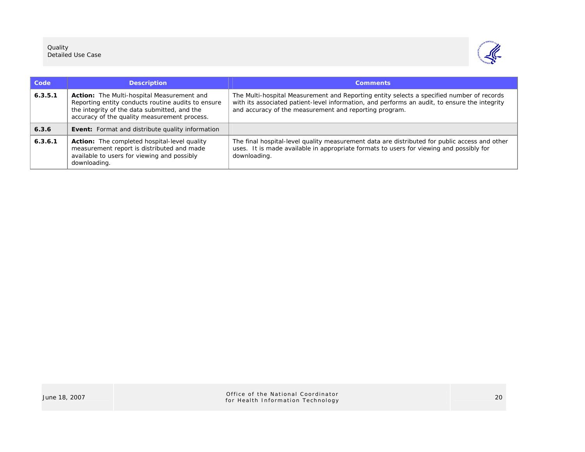

| Code    | <b>Description</b>                                                                                                                                                                                      | <b>Comments</b>                                                                                                                                                                                                                                      |
|---------|---------------------------------------------------------------------------------------------------------------------------------------------------------------------------------------------------------|------------------------------------------------------------------------------------------------------------------------------------------------------------------------------------------------------------------------------------------------------|
| 6.3.5.1 | <b>Action:</b> The Multi-hospital Measurement and<br>Reporting entity conducts routine audits to ensure<br>the integrity of the data submitted, and the<br>accuracy of the quality measurement process. | The Multi-hospital Measurement and Reporting entity selects a specified number of records<br>with its associated patient-level information, and performs an audit, to ensure the integrity<br>and accuracy of the measurement and reporting program. |
| 6.3.6   | <b>Event:</b> Format and distribute quality information                                                                                                                                                 |                                                                                                                                                                                                                                                      |
| 6.3.6.1 | <b>Action:</b> The completed hospital-level quality<br>measurement report is distributed and made<br>available to users for viewing and possibly<br>downloading.                                        | The final hospital-level quality measurement data are distributed for public access and other<br>uses. It is made available in appropriate formats to users for viewing and possibly for<br>downloading.                                             |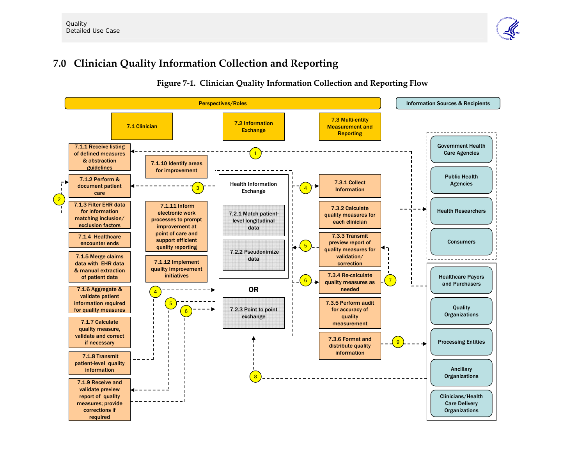# **7.0 Clinician Quality Information Collection and Reporting**



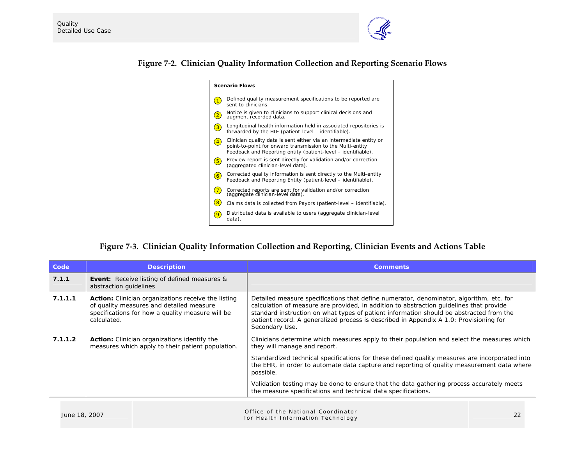

## **Figure 7-2. Clinician Quality Information Collection and Reporting Scenario Flows**

| <b>Scenario Flows</b> |                                                                                                                                                                                                    |  |
|-----------------------|----------------------------------------------------------------------------------------------------------------------------------------------------------------------------------------------------|--|
|                       | Defined quality measurement specifications to be reported are<br>sent to clinicians.                                                                                                               |  |
| $\overline{2}$        | Notice is given to clinicians to support clinical decisions and<br>augment recorded data.                                                                                                          |  |
| 3                     | Longitudinal health information held in associated repositories is<br>forwarded by the HIE (patient-level - identifiable).                                                                         |  |
|                       | Clinician quality data is sent either via an intermediate entity or<br>point-to-point for onward transmission to the Multi-entity<br>Feedback and Reporting entity (patient-level – identifiable). |  |
| $5^{\circ}$           | Preview report is sent directly for validation and/or correction<br>(aggregated clinician-level data).                                                                                             |  |
| $\overline{6}$        | Corrected quality information is sent directly to the Multi-entity<br>Feedback and Reporting Entity (patient-level - identifiable).                                                                |  |
| $\overline{7}$        | Corrected reports are sent for validation and/or correction<br>(aggregate clinician-level data).                                                                                                   |  |
|                       | Claims data is collected from Payors (patient-level – identifiable).                                                                                                                               |  |
|                       | Distributed data is available to users (aggregate clinician-level<br>data).                                                                                                                        |  |

## **Figure 7-3. Clinician Quality Information Collection and Reporting, Clinician Events and Actions Table**

| Code    | <b>Description</b>                                                                                                                                                        | <b>Comments</b>                                                                                                                                                                                                                                                                                                                                                                                                                                                                                        |
|---------|---------------------------------------------------------------------------------------------------------------------------------------------------------------------------|--------------------------------------------------------------------------------------------------------------------------------------------------------------------------------------------------------------------------------------------------------------------------------------------------------------------------------------------------------------------------------------------------------------------------------------------------------------------------------------------------------|
| 7.1.1   | <b>Event:</b> Receive listing of defined measures &<br>abstraction quidelines                                                                                             |                                                                                                                                                                                                                                                                                                                                                                                                                                                                                                        |
| 7.1.1.1 | <b>Action:</b> Clinician organizations receive the listing<br>of quality measures and detailed measure<br>specifications for how a quality measure will be<br>calculated. | Detailed measure specifications that define numerator, denominator, algorithm, etc. for<br>calculation of measure are provided, in addition to abstraction quidelines that provide<br>standard instruction on what types of patient information should be abstracted from the<br>patient record. A generalized process is described in Appendix A 1.0: Provisioning for<br>Secondary Use.                                                                                                              |
| 7.1.1.2 | <b>Action:</b> Clinician organizations identify the<br>measures which apply to their patient population.                                                                  | Clinicians determine which measures apply to their population and select the measures which<br>they will manage and report.<br>Standardized technical specifications for these defined quality measures are incorporated into<br>the EHR, in order to automate data capture and reporting of quality measurement data where<br>possible.<br>Validation testing may be done to ensure that the data gathering process accurately meets<br>the measure specifications and technical data specifications. |

| June 18, 2007 | Office of the National Coordinator<br>for Health Information Technology | າາ |
|---------------|-------------------------------------------------------------------------|----|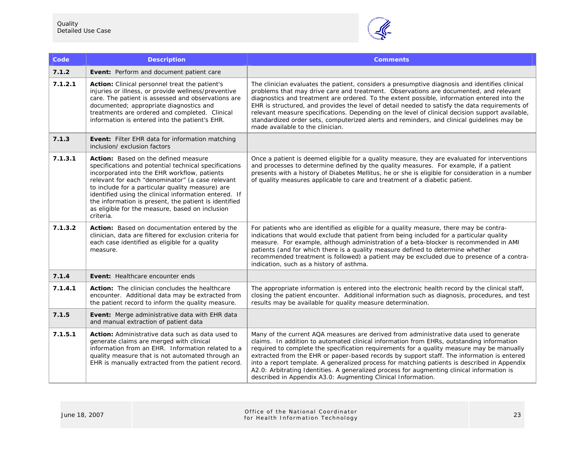

| Code    | <b>Description</b>                                                                                                                                                                                                                                                                                                                                                                                                                      | <b>Comments</b>                                                                                                                                                                                                                                                                                                                                                                                                                                                                                                                                                                                                                             |
|---------|-----------------------------------------------------------------------------------------------------------------------------------------------------------------------------------------------------------------------------------------------------------------------------------------------------------------------------------------------------------------------------------------------------------------------------------------|---------------------------------------------------------------------------------------------------------------------------------------------------------------------------------------------------------------------------------------------------------------------------------------------------------------------------------------------------------------------------------------------------------------------------------------------------------------------------------------------------------------------------------------------------------------------------------------------------------------------------------------------|
| 7.1.2   | Event: Perform and document patient care                                                                                                                                                                                                                                                                                                                                                                                                |                                                                                                                                                                                                                                                                                                                                                                                                                                                                                                                                                                                                                                             |
| 7.1.2.1 | <b>Action:</b> Clinical personnel treat the patient's<br>injuries or illness, or provide wellness/preventive<br>care. The patient is assessed and observations are<br>documented; appropriate diagnostics and<br>treatments are ordered and completed. Clinical<br>information is entered into the patient's EHR.                                                                                                                       | The clinician evaluates the patient, considers a presumptive diagnosis and identifies clinical<br>problems that may drive care and treatment. Observations are documented, and relevant<br>diagnostics and treatment are ordered. To the extent possible, information entered into the<br>EHR is structured, and provides the level of detail needed to satisfy the data requirements of<br>relevant measure specifications. Depending on the level of clinical decision support available,<br>standardized order sets, computerized alerts and reminders, and clinical guidelines may be<br>made available to the clinician.               |
| 7.1.3   | Event: Filter EHR data for information matching<br>inclusion/ exclusion factors                                                                                                                                                                                                                                                                                                                                                         |                                                                                                                                                                                                                                                                                                                                                                                                                                                                                                                                                                                                                                             |
| 7.1.3.1 | Action: Based on the defined measure<br>specifications and potential technical specifications<br>incorporated into the EHR workflow, patients<br>relevant for each "denominator" (a case relevant<br>to include for a particular quality measure) are<br>identified using the clinical information entered. If<br>the information is present, the patient is identified<br>as eligible for the measure, based on inclusion<br>criteria. | Once a patient is deemed eligible for a quality measure, they are evaluated for interventions<br>and processes to determine defined by the quality measures. For example, if a patient<br>presents with a history of Diabetes Mellitus, he or she is eligible for consideration in a number<br>of quality measures applicable to care and treatment of a diabetic patient.                                                                                                                                                                                                                                                                  |
| 7.1.3.2 | Action: Based on documentation entered by the<br>clinician, data are filtered for exclusion criteria for<br>each case identified as eligible for a quality<br>measure.                                                                                                                                                                                                                                                                  | For patients who are identified as eligible for a quality measure, there may be contra-<br>indications that would exclude that patient from being included for a particular quality<br>measure. For example, although administration of a beta-blocker is recommended in AMI<br>patients (and for which there is a quality measure defined to determine whether<br>recommended treatment is followed) a patient may be excluded due to presence of a contra-<br>indication, such as a history of asthma.                                                                                                                                    |
| 7.1.4   | <b>Event:</b> Healthcare encounter ends                                                                                                                                                                                                                                                                                                                                                                                                 |                                                                                                                                                                                                                                                                                                                                                                                                                                                                                                                                                                                                                                             |
| 7.1.4.1 | <b>Action:</b> The clinician concludes the healthcare<br>encounter. Additional data may be extracted from<br>the patient record to inform the quality measure.                                                                                                                                                                                                                                                                          | The appropriate information is entered into the electronic health record by the clinical staff,<br>closing the patient encounter. Additional information such as diagnosis, procedures, and test<br>results may be available for quality measure determination.                                                                                                                                                                                                                                                                                                                                                                             |
| 7.1.5   | Event: Merge administrative data with EHR data<br>and manual extraction of patient data                                                                                                                                                                                                                                                                                                                                                 |                                                                                                                                                                                                                                                                                                                                                                                                                                                                                                                                                                                                                                             |
| 7.1.5.1 | Action: Administrative data such as data used to<br>generate claims are merged with clinical<br>information from an EHR. Information related to a<br>quality measure that is not automated through an<br>EHR is manually extracted from the patient record.                                                                                                                                                                             | Many of the current AQA measures are derived from administrative data used to generate<br>claims. In addition to automated clinical information from EHRs, outstanding information<br>required to complete the specification requirements for a quality measure may be manually<br>extracted from the EHR or paper-based records by support staff. The information is entered<br>into a report template. A generalized process for matching patients is described in Appendix<br>A2.0: Arbitrating Identities. A generalized process for augmenting clinical information is<br>described in Appendix A3.0: Augmenting Clinical Information. |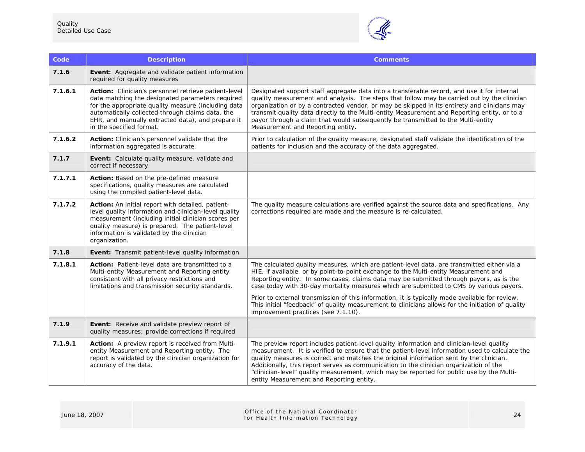

| Code    | <b>Description</b>                                                                                                                                                                                                                                                                                   | <b>Comments</b>                                                                                                                                                                                                                                                                                                                                                                                                                                                                                                                                                                                                         |
|---------|------------------------------------------------------------------------------------------------------------------------------------------------------------------------------------------------------------------------------------------------------------------------------------------------------|-------------------------------------------------------------------------------------------------------------------------------------------------------------------------------------------------------------------------------------------------------------------------------------------------------------------------------------------------------------------------------------------------------------------------------------------------------------------------------------------------------------------------------------------------------------------------------------------------------------------------|
| 7.1.6   | Event: Aggregate and validate patient information<br>required for quality measures                                                                                                                                                                                                                   |                                                                                                                                                                                                                                                                                                                                                                                                                                                                                                                                                                                                                         |
| 7.1.6.1 | Action: Clinician's personnel retrieve patient-level<br>data matching the designated parameters required<br>for the appropriate quality measure (including data<br>automatically collected through claims data, the<br>EHR, and manually extracted data), and prepare it<br>in the specified format. | Designated support staff aggregate data into a transferable record, and use it for internal<br>quality measurement and analysis. The steps that follow may be carried out by the clinician<br>organization or by a contracted vendor, or may be skipped in its entirety and clinicians may<br>transmit quality data directly to the Multi-entity Measurement and Reporting entity, or to a<br>payor through a claim that would subsequently be transmitted to the Multi-entity<br>Measurement and Reporting entity.                                                                                                     |
| 7.1.6.2 | Action: Clinician's personnel validate that the<br>information aggregated is accurate.                                                                                                                                                                                                               | Prior to calculation of the quality measure, designated staff validate the identification of the<br>patients for inclusion and the accuracy of the data aggregated.                                                                                                                                                                                                                                                                                                                                                                                                                                                     |
| 7.1.7   | Event: Calculate quality measure, validate and<br>correct if necessary                                                                                                                                                                                                                               |                                                                                                                                                                                                                                                                                                                                                                                                                                                                                                                                                                                                                         |
| 7.1.7.1 | Action: Based on the pre-defined measure<br>specifications, quality measures are calculated<br>using the compiled patient-level data.                                                                                                                                                                |                                                                                                                                                                                                                                                                                                                                                                                                                                                                                                                                                                                                                         |
| 7.1.7.2 | Action: An initial report with detailed, patient-<br>level quality information and clinician-level quality<br>measurement (including initial clinician scores per<br>quality measure) is prepared. The patient-level<br>information is validated by the clinician<br>organization.                   | The quality measure calculations are verified against the source data and specifications. Any<br>corrections required are made and the measure is re-calculated.                                                                                                                                                                                                                                                                                                                                                                                                                                                        |
| 7.1.8   | Event: Transmit patient-level quality information                                                                                                                                                                                                                                                    |                                                                                                                                                                                                                                                                                                                                                                                                                                                                                                                                                                                                                         |
| 7.1.8.1 | Action: Patient-level data are transmitted to a<br>Multi-entity Measurement and Reporting entity<br>consistent with all privacy restrictions and<br>limitations and transmission security standards.                                                                                                 | The calculated quality measures, which are patient-level data, are transmitted either via a<br>HIE, if available, or by point-to-point exchange to the Multi-entity Measurement and<br>Reporting entity. In some cases, claims data may be submitted through payors, as is the<br>case today with 30-day mortality measures which are submitted to CMS by various payors.<br>Prior to external transmission of this information, it is typically made available for review.<br>This initial "feedback" of quality measurement to clinicians allows for the initiation of quality<br>improvement practices (see 7.1.10). |
| 7.1.9   | Event: Receive and validate preview report of<br>quality measures; provide corrections if required                                                                                                                                                                                                   |                                                                                                                                                                                                                                                                                                                                                                                                                                                                                                                                                                                                                         |
| 7.1.9.1 | Action: A preview report is received from Multi-<br>entity Measurement and Reporting entity. The<br>report is validated by the clinician organization for<br>accuracy of the data.                                                                                                                   | The preview report includes patient-level quality information and clinician-level quality<br>measurement. It is verified to ensure that the patient-level information used to calculate the<br>quality measures is correct and matches the original information sent by the clinician.<br>Additionally, this report serves as communication to the clinician organization of the<br>"clinician-level" quality measurement, which may be reported for public use by the Multi-<br>entity Measurement and Reporting entity.                                                                                               |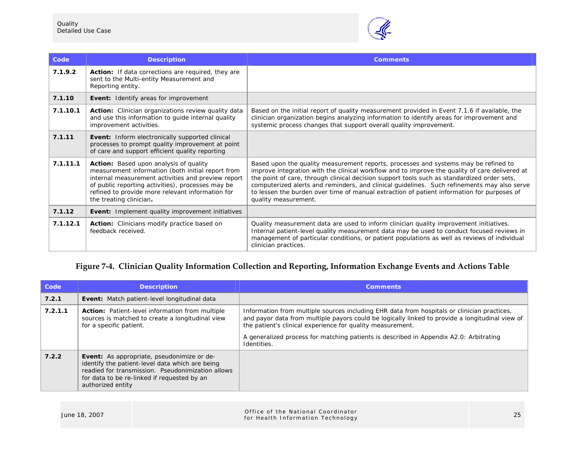

| Code     | <b>Description</b>                                                                                                                                                                                                                                                                    | <b>Comments</b>                                                                                                                                                                                                                                                                                                                                                                                                                                                                                           |
|----------|---------------------------------------------------------------------------------------------------------------------------------------------------------------------------------------------------------------------------------------------------------------------------------------|-----------------------------------------------------------------------------------------------------------------------------------------------------------------------------------------------------------------------------------------------------------------------------------------------------------------------------------------------------------------------------------------------------------------------------------------------------------------------------------------------------------|
| 7.1.9.2  | Action: If data corrections are required, they are<br>sent to the Multi-entity Measurement and<br>Reporting entity.                                                                                                                                                                   |                                                                                                                                                                                                                                                                                                                                                                                                                                                                                                           |
| 7.1.10   | <b>Event:</b> Identify areas for improvement                                                                                                                                                                                                                                          |                                                                                                                                                                                                                                                                                                                                                                                                                                                                                                           |
| 7.1.10.1 | Action: Clinician organizations review quality data<br>and use this information to guide internal quality<br>improvement activities.                                                                                                                                                  | Based on the initial report of quality measurement provided in Event 7.1.6 if available, the<br>clinician organization begins analyzing information to identify areas for improvement and<br>systemic process changes that support overall quality improvement.                                                                                                                                                                                                                                           |
| 7.1.11   | Event: Inform electronically supported clinical<br>processes to prompt quality improvement at point<br>of care and support efficient quality reporting                                                                                                                                |                                                                                                                                                                                                                                                                                                                                                                                                                                                                                                           |
| 7.1.11.1 | Action: Based upon analysis of quality<br>measurement information (both initial report from<br>internal measurement activities and preview report<br>of public reporting activities), processes may be<br>refined to provide more relevant information for<br>the treating clinician. | Based upon the quality measurement reports, processes and systems may be refined to<br>improve integration with the clinical workflow and to improve the quality of care delivered at<br>the point of care, through clinical decision support tools such as standardized order sets,<br>computerized alerts and reminders, and clinical guidelines. Such refinements may also serve<br>to lessen the burden over time of manual extraction of patient information for purposes of<br>quality measurement. |
| 7.1.12   | <b>Event:</b> Implement quality improvement initiatives                                                                                                                                                                                                                               |                                                                                                                                                                                                                                                                                                                                                                                                                                                                                                           |
| 7.1.12.1 | <b>Action:</b> Clinicians modify practice based on<br>feedback received.                                                                                                                                                                                                              | Quality measurement data are used to inform clinician quality improvement initiatives.<br>Internal patient-level quality measurement data may be used to conduct focused reviews in<br>management of particular conditions, or patient populations as well as reviews of individual<br>clinician practices.                                                                                                                                                                                               |

## **Figure 7-4. Clinician Quality Information Collection and Reporting, Information Exchange Events and Actions Table**

| Code    | <b>Description</b>                                                                                                                                                                                                            | <b>Comments</b>                                                                                                                                                                                                                                                                                                                                                       |
|---------|-------------------------------------------------------------------------------------------------------------------------------------------------------------------------------------------------------------------------------|-----------------------------------------------------------------------------------------------------------------------------------------------------------------------------------------------------------------------------------------------------------------------------------------------------------------------------------------------------------------------|
| 7.2.1   | <b>Event:</b> Match patient-level longitudinal data                                                                                                                                                                           |                                                                                                                                                                                                                                                                                                                                                                       |
| 7.2.1.1 | <b>Action:</b> Patient-level information from multiple<br>sources is matched to create a longitudinal view<br>for a specific patient.                                                                                         | Information from multiple sources including EHR data from hospitals or clinician practices,<br>and payor data from multiple payors could be logically linked to provide a longitudinal view of<br>the patient's clinical experience for quality measurement.<br>A generalized process for matching patients is described in Appendix A2.0: Arbitrating<br>Identities. |
| 7.2.2   | <b>Event:</b> As appropriate, pseudonimize or de-<br>identify the patient-level data which are being<br>readied for transmission. Pseudonimization allows<br>for data to be re-linked if requested by an<br>authorized entity |                                                                                                                                                                                                                                                                                                                                                                       |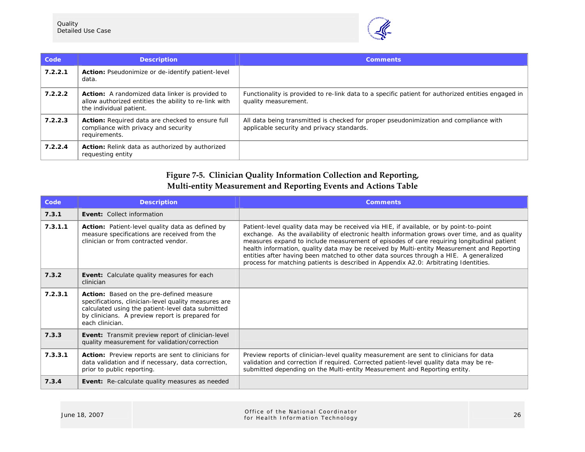

| Code    | <b>Description</b>                                                                                                                         | <b>Comments</b>                                                                                                                     |
|---------|--------------------------------------------------------------------------------------------------------------------------------------------|-------------------------------------------------------------------------------------------------------------------------------------|
| 7.2.2.1 | <b>Action:</b> Pseudonimize or de-identify patient-level<br>data.                                                                          |                                                                                                                                     |
| 7.2.2.2 | <b>Action:</b> A randomized data linker is provided to<br>allow authorized entities the ability to re-link with<br>the individual patient. | Functionality is provided to re-link data to a specific patient for authorized entities engaged in<br>quality measurement.          |
| 7.2.2.3 | <b>Action:</b> Required data are checked to ensure full<br>compliance with privacy and security<br>requirements.                           | All data being transmitted is checked for proper pseudonimization and compliance with<br>applicable security and privacy standards. |
| 7.2.2.4 | <b>Action:</b> Relink data as authorized by authorized<br>requesting entity                                                                |                                                                                                                                     |

## **Figure 7-5. Clinician Quality Information Collection and Reporting, Multi-entity Measurement and Reporting Events and Actions Table**

| Code    | <b>Description</b>                                                                                                                                                                                                          | <b>Comments</b>                                                                                                                                                                                                                                                                                                                                                                                                                                                                                                                                                      |
|---------|-----------------------------------------------------------------------------------------------------------------------------------------------------------------------------------------------------------------------------|----------------------------------------------------------------------------------------------------------------------------------------------------------------------------------------------------------------------------------------------------------------------------------------------------------------------------------------------------------------------------------------------------------------------------------------------------------------------------------------------------------------------------------------------------------------------|
| 7.3.1   | <b>Event: Collect information</b>                                                                                                                                                                                           |                                                                                                                                                                                                                                                                                                                                                                                                                                                                                                                                                                      |
| 7.3.1.1 | Action: Patient-level quality data as defined by<br>measure specifications are received from the<br>clinician or from contracted vendor.                                                                                    | Patient-level quality data may be received via HIE, if available, or by point-to-point<br>exchange. As the availability of electronic health information grows over time, and as quality<br>measures expand to include measurement of episodes of care requiring longitudinal patient<br>health information, quality data may be received by Multi-entity Measurement and Reporting<br>entities after having been matched to other data sources through a HIE. A generalized<br>process for matching patients is described in Appendix A2.0: Arbitrating Identities. |
| 7.3.2   | <b>Event:</b> Calculate quality measures for each<br>clinician                                                                                                                                                              |                                                                                                                                                                                                                                                                                                                                                                                                                                                                                                                                                                      |
| 7.2.3.1 | Action: Based on the pre-defined measure<br>specifications, clinician-level quality measures are<br>calculated using the patient-level data submitted<br>by clinicians. A preview report is prepared for<br>each clinician. |                                                                                                                                                                                                                                                                                                                                                                                                                                                                                                                                                                      |
| 7.3.3   | <b>Event:</b> Transmit preview report of clinician-level<br>quality measurement for validation/correction                                                                                                                   |                                                                                                                                                                                                                                                                                                                                                                                                                                                                                                                                                                      |
| 7.3.3.1 | Action: Preview reports are sent to clinicians for<br>data validation and if necessary, data correction,<br>prior to public reporting.                                                                                      | Preview reports of clinician-level quality measurement are sent to clinicians for data<br>validation and correction if required. Corrected patient-level quality data may be re-<br>submitted depending on the Multi-entity Measurement and Reporting entity.                                                                                                                                                                                                                                                                                                        |
| 7.3.4   | Event: Re-calculate quality measures as needed                                                                                                                                                                              |                                                                                                                                                                                                                                                                                                                                                                                                                                                                                                                                                                      |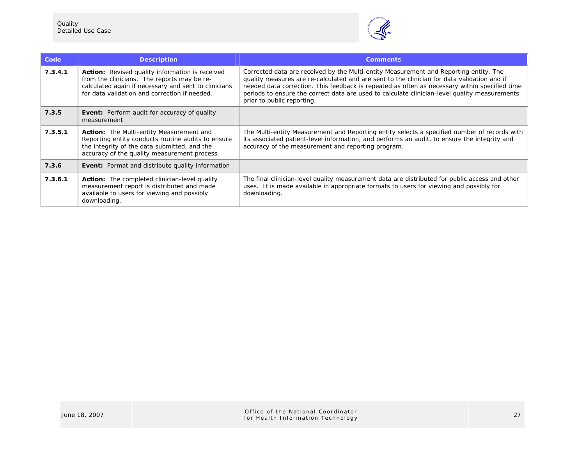

| Code    | <b>Description</b>                                                                                                                                                                                      | <b>Comments</b>                                                                                                                                                                                                                                                                                                                                                                                                      |
|---------|---------------------------------------------------------------------------------------------------------------------------------------------------------------------------------------------------------|----------------------------------------------------------------------------------------------------------------------------------------------------------------------------------------------------------------------------------------------------------------------------------------------------------------------------------------------------------------------------------------------------------------------|
| 7.3.4.1 | Action: Revised quality information is received<br>from the clinicians. The reports may be re-<br>calculated again if necessary and sent to clinicians<br>for data validation and correction if needed. | Corrected data are received by the Multi-entity Measurement and Reporting entity. The<br>quality measures are re-calculated and are sent to the clinician for data validation and if<br>needed data correction. This feedback is repeated as often as necessary within specified time<br>periods to ensure the correct data are used to calculate clinician-level quality measurements<br>prior to public reporting. |
| 7.3.5   | <b>Event:</b> Perform audit for accuracy of quality<br>measurement                                                                                                                                      |                                                                                                                                                                                                                                                                                                                                                                                                                      |
| 7.3.5.1 | Action: The Multi-entity Measurement and<br>Reporting entity conducts routine audits to ensure<br>the integrity of the data submitted, and the<br>accuracy of the quality measurement process.          | The Multi-entity Measurement and Reporting entity selects a specified number of records with<br>its associated patient-level information, and performs an audit, to ensure the integrity and<br>accuracy of the measurement and reporting program.                                                                                                                                                                   |
| 7.3.6   | <b>Event:</b> Format and distribute quality information                                                                                                                                                 |                                                                                                                                                                                                                                                                                                                                                                                                                      |
| 7.3.6.1 | <b>Action:</b> The completed clinician-level quality<br>measurement report is distributed and made<br>available to users for viewing and possibly<br>downloading.                                       | The final clinician-level quality measurement data are distributed for public access and other<br>uses. It is made available in appropriate formats to users for viewing and possibly for<br>downloading.                                                                                                                                                                                                            |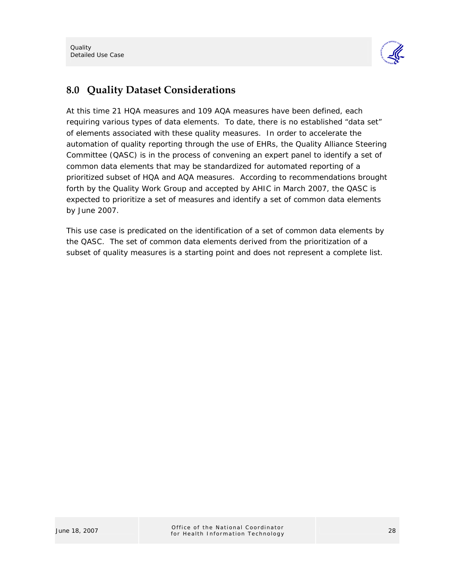

## **8.0 Quality Dataset Considerations**

At this time 21 HQA measures and 109 AQA measures have been defined, each requiring various types of data elements. To date, there is no established "data set" of elements associated with these quality measures. In order to accelerate the automation of quality reporting through the use of EHRs, the Quality Alliance Steering Committee (QASC) is in the process of convening an expert panel to identify a set of common data elements that may be standardized for automated reporting of a prioritized subset of HQA and AQA measures. According to recommendations brought forth by the Quality Work Group and accepted by AHIC in March 2007, the QASC is expected to prioritize a set of measures and identify a set of common data elements by June 2007.

This use case is predicated on the identification of a set of common data elements by the QASC. The set of common data elements derived from the prioritization of a subset of quality measures is a starting point and does not represent a complete list.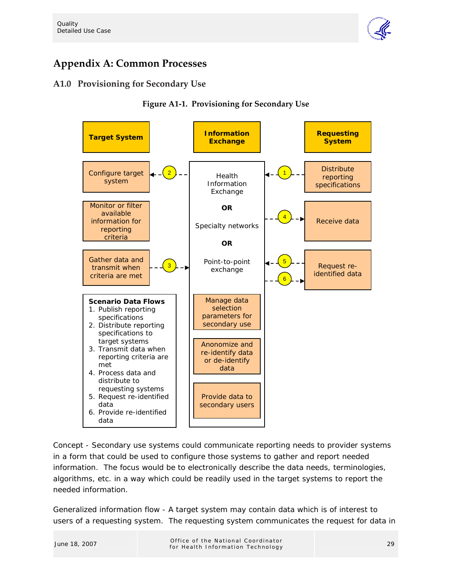

# **Appendix A: Common Processes**

### **A1.0 Provisioning for Secondary Use**





*Concept* - Secondary use systems could communicate reporting needs to provider systems in a form that could be used to configure those systems to gather and report needed information. The focus would be to electronically describe the data needs, terminologies, algorithms, etc. in a way which could be readily used in the target systems to report the needed information.

*Generalized information flow* - A target system may contain data which is of interest to users of a requesting system. The requesting system communicates the request for data in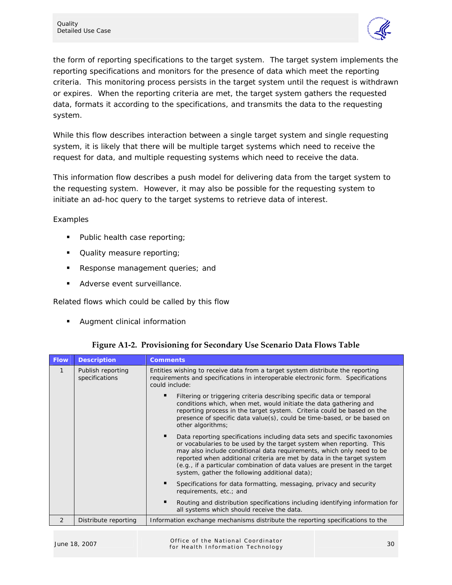

the form of reporting specifications to the target system. The target system implements the reporting specifications and monitors for the presence of data which meet the reporting criteria. This monitoring process persists in the target system until the request is withdrawn or expires. When the reporting criteria are met, the target system gathers the requested data, formats it according to the specifications, and transmits the data to the requesting system.

While this flow describes interaction between a single target system and single requesting system, it is likely that there will be multiple target systems which need to receive the request for data, and multiple requesting systems which need to receive the data.

This information flow describes a push model for delivering data from the target system to the requesting system. However, it may also be possible for the requesting system to initiate an ad-hoc query to the target systems to retrieve data of interest.

#### *Examples*

- Public health case reporting;
- **Quality measure reporting;**
- Response management queries; and
- **Adverse event surveillance.**

#### *Related flows which could be called by this flow*

**Augment clinical information** 

| <b>Flow</b>  | <b>Description</b>                  | <b>Comments</b>                                                                                                                                                                                                                                                                                                                                                                                                                       |  |
|--------------|-------------------------------------|---------------------------------------------------------------------------------------------------------------------------------------------------------------------------------------------------------------------------------------------------------------------------------------------------------------------------------------------------------------------------------------------------------------------------------------|--|
| $\mathbf{1}$ | Publish reporting<br>specifications | Entities wishing to receive data from a target system distribute the reporting<br>requirements and specifications in interoperable electronic form. Specifications<br>could include:                                                                                                                                                                                                                                                  |  |
|              |                                     | Filtering or triggering criteria describing specific data or temporal<br>conditions which, when met, would initiate the data gathering and<br>reporting process in the target system. Criteria could be based on the<br>presence of specific data value(s), could be time-based, or be based on<br>other algorithms;                                                                                                                  |  |
|              |                                     | Data reporting specifications including data sets and specific taxonomies<br>or vocabularies to be used by the target system when reporting. This<br>may also include conditional data requirements, which only need to be<br>reported when additional criteria are met by data in the target system<br>(e.g., if a particular combination of data values are present in the target<br>system, gather the following additional data); |  |
|              |                                     | Specifications for data formatting, messaging, privacy and security<br>requirements, etc.; and                                                                                                                                                                                                                                                                                                                                        |  |
|              |                                     | Routing and distribution specifications including identifying information for<br>all systems which should receive the data.                                                                                                                                                                                                                                                                                                           |  |
| 2            | Distribute reporting                | Information exchange mechanisms distribute the reporting specifications to the                                                                                                                                                                                                                                                                                                                                                        |  |

**Figure A1-2. Provisioning for Secondary Use Scenario Data Flows Table**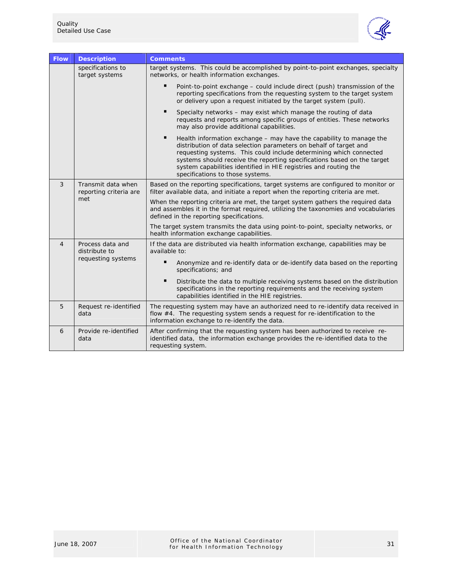

| <b>Flow</b>                                             | <b>Description</b>                           | <b>Comments</b>                                                                                                                                                                                                                                                                                                                                                                                                     |  |
|---------------------------------------------------------|----------------------------------------------|---------------------------------------------------------------------------------------------------------------------------------------------------------------------------------------------------------------------------------------------------------------------------------------------------------------------------------------------------------------------------------------------------------------------|--|
|                                                         | specifications to<br>target systems          | target systems. This could be accomplished by point-to-point exchanges, specialty<br>networks, or health information exchanges.                                                                                                                                                                                                                                                                                     |  |
|                                                         |                                              | $\blacksquare$<br>Point-to-point exchange – could include direct (push) transmission of the<br>reporting specifications from the requesting system to the target system<br>or delivery upon a request initiated by the target system (pull).                                                                                                                                                                        |  |
|                                                         |                                              | п<br>Specialty networks – may exist which manage the routing of data<br>requests and reports among specific groups of entities. These networks<br>may also provide additional capabilities.                                                                                                                                                                                                                         |  |
|                                                         |                                              | $\blacksquare$<br>Health information exchange – may have the capability to manage the<br>distribution of data selection parameters on behalf of target and<br>requesting systems. This could include determining which connected<br>systems should receive the reporting specifications based on the target<br>system capabilities identified in HIE registries and routing the<br>specifications to those systems. |  |
| 3                                                       | Transmit data when<br>reporting criteria are | Based on the reporting specifications, target systems are configured to monitor or<br>filter available data, and initiate a report when the reporting criteria are met.                                                                                                                                                                                                                                             |  |
|                                                         | met                                          | When the reporting criteria are met, the target system gathers the required data<br>and assembles it in the format required, utilizing the taxonomies and vocabularies<br>defined in the reporting specifications.                                                                                                                                                                                                  |  |
|                                                         |                                              | The target system transmits the data using point-to-point, specialty networks, or<br>health information exchange capabilities.                                                                                                                                                                                                                                                                                      |  |
| Process data and<br>4<br>distribute to<br>available to: |                                              | If the data are distributed via health information exchange, capabilities may be                                                                                                                                                                                                                                                                                                                                    |  |
|                                                         | requesting systems                           | $\blacksquare$<br>Anonymize and re-identify data or de-identify data based on the reporting<br>specifications; and                                                                                                                                                                                                                                                                                                  |  |
|                                                         |                                              | ٠<br>Distribute the data to multiple receiving systems based on the distribution<br>specifications in the reporting requirements and the receiving system<br>capabilities identified in the HIE registries.                                                                                                                                                                                                         |  |
| 5                                                       | Request re-identified<br>data                | The requesting system may have an authorized need to re-identify data received in<br>flow #4. The requesting system sends a request for re-identification to the<br>information exchange to re-identify the data.                                                                                                                                                                                                   |  |
| 6                                                       | Provide re-identified<br>data                | After confirming that the requesting system has been authorized to receive re-<br>identified data, the information exchange provides the re-identified data to the<br>requesting system.                                                                                                                                                                                                                            |  |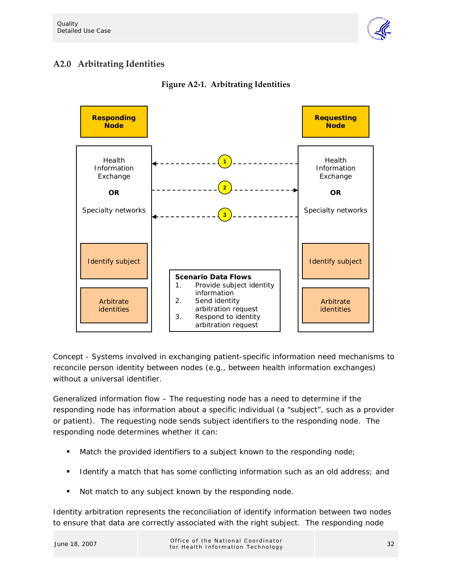

## **A2.0 Arbitrating Identities**



#### **Figure A2-1. Arbitrating Identities**

*Concept* - Systems involved in exchanging patient-specific information need mechanisms to reconcile person identity between nodes (e.g., between health information exchanges) without a universal identifier.

*Generalized information flow* – The requesting node has a need to determine if the responding node has information about a specific individual (a "subject", such as a provider or patient). The requesting node sends subject identifiers to the responding node. The responding node determines whether it can:

- Match the provided identifiers to a subject known to the responding node;
- **If Identify a match that has some conflicting information such as an old address; and**
- Not match to any subject known by the responding node.

Identity arbitration represents the reconciliation of identify information between two nodes to ensure that data are correctly associated with the right subject. The responding node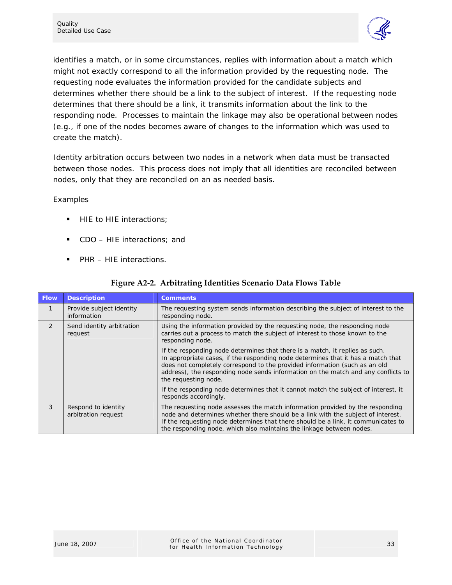

identifies a match, or in some circumstances, replies with information about a match which might not exactly correspond to all the information provided by the requesting node. The requesting node evaluates the information provided for the candidate subjects and determines whether there should be a link to the subject of interest. If the requesting node determines that there should be a link, it transmits information about the link to the responding node. Processes to maintain the linkage may also be operational between nodes (e.g., if one of the nodes becomes aware of changes to the information which was used to create the match).

Identity arbitration occurs between two nodes in a network when data must be transacted between those nodes. This process does not imply that all identities are reconciled between nodes, only that they are reconciled on an as needed basis.

#### *Examples*

- HIE to HIE interactions;
- CDO HIE interactions; and
- PHR HIE interactions.

| <b>Flow</b>  | <b>Description</b>                         | <b>Comments</b>                                                                                                                                                                                                                                                                                                                                             |
|--------------|--------------------------------------------|-------------------------------------------------------------------------------------------------------------------------------------------------------------------------------------------------------------------------------------------------------------------------------------------------------------------------------------------------------------|
| $\mathbf{1}$ | Provide subject identity<br>information    | The requesting system sends information describing the subject of interest to the<br>responding node.                                                                                                                                                                                                                                                       |
| 2            | Send identity arbitration<br>request       | Using the information provided by the requesting node, the responding node<br>carries out a process to match the subject of interest to those known to the<br>responding node.                                                                                                                                                                              |
|              |                                            | If the responding node determines that there is a match, it replies as such.<br>In appropriate cases, if the responding node determines that it has a match that<br>does not completely correspond to the provided information (such as an old<br>address), the responding node sends information on the match and any conflicts to<br>the requesting node. |
|              |                                            | If the responding node determines that it cannot match the subject of interest, it<br>responds accordingly.                                                                                                                                                                                                                                                 |
| 3            | Respond to identity<br>arbitration request | The requesting node assesses the match information provided by the responding<br>node and determines whether there should be a link with the subject of interest.<br>If the requesting node determines that there should be a link, it communicates to<br>the responding node, which also maintains the linkage between nodes.                              |

#### **Figure A2-2. Arbitrating Identities Scenario Data Flows Table**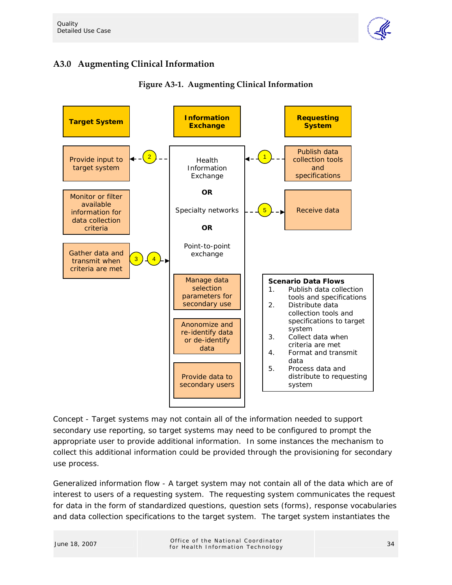

## **A3.0 Augmenting Clinical Information**



#### **Figure A3-1. Augmenting Clinical Information**

*Concept* - Target systems may not contain all of the information needed to support secondary use reporting, so target systems may need to be configured to prompt the appropriate user to provide additional information. In some instances the mechanism to collect this additional information could be provided through the provisioning for secondary use process.

*Generalized information flow* - A target system may not contain all of the data which are of interest to users of a requesting system. The requesting system communicates the request for data in the form of standardized questions, question sets (forms), response vocabularies and data collection specifications to the target system. The target system instantiates the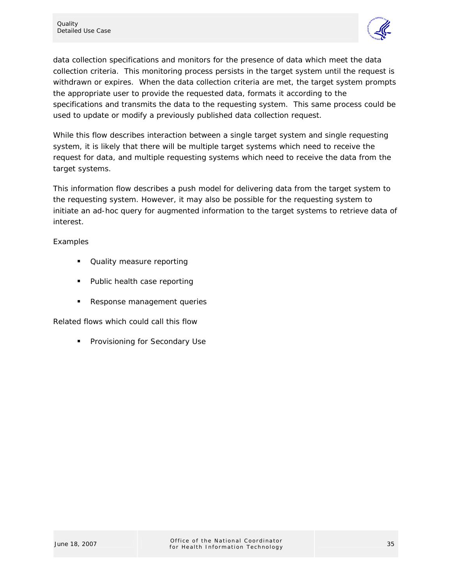

data collection specifications and monitors for the presence of data which meet the data collection criteria. This monitoring process persists in the target system until the request is withdrawn or expires. When the data collection criteria are met, the target system prompts the appropriate user to provide the requested data, formats it according to the specifications and transmits the data to the requesting system. This same process could be used to update or modify a previously published data collection request.

While this flow describes interaction between a single target system and single requesting system, it is likely that there will be multiple target systems which need to receive the request for data, and multiple requesting systems which need to receive the data from the target systems.

This information flow describes a push model for delivering data from the target system to the requesting system. However, it may also be possible for the requesting system to initiate an ad-hoc query for augmented information to the target systems to retrieve data of interest.

#### *Examples*

- Quality measure reporting
- Public health case reporting
- Response management queries

#### *Related flows which could call this flow*

Provisioning for Secondary Use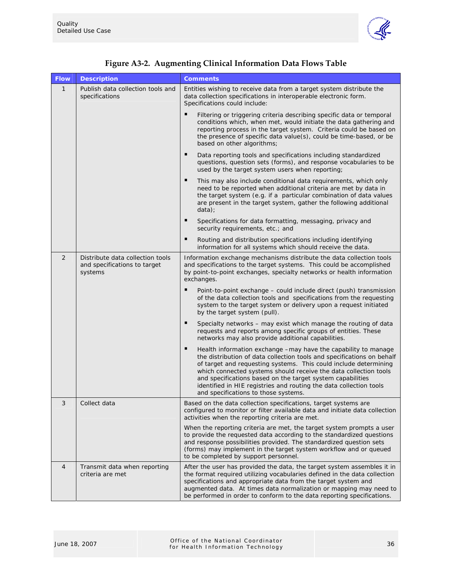

| <b>Flow</b>    | <b>Description</b>                                                          | <b>Comments</b>                                                                                                                                                                                                                                                                                                                                                                                                                                              |
|----------------|-----------------------------------------------------------------------------|--------------------------------------------------------------------------------------------------------------------------------------------------------------------------------------------------------------------------------------------------------------------------------------------------------------------------------------------------------------------------------------------------------------------------------------------------------------|
| $\mathbf{1}$   | Publish data collection tools and<br>specifications                         | Entities wishing to receive data from a target system distribute the<br>data collection specifications in interoperable electronic form.<br>Specifications could include:                                                                                                                                                                                                                                                                                    |
|                |                                                                             | Filtering or triggering criteria describing specific data or temporal<br>conditions which, when met, would initiate the data gathering and<br>reporting process in the target system. Criteria could be based on<br>the presence of specific data value(s), could be time-based, or be<br>based on other algorithms;                                                                                                                                         |
|                |                                                                             | п<br>Data reporting tools and specifications including standardized<br>questions, question sets (forms), and response vocabularies to be<br>used by the target system users when reporting;                                                                                                                                                                                                                                                                  |
|                |                                                                             | This may also include conditional data requirements, which only<br>need to be reported when additional criteria are met by data in<br>the target system (e.g. if a particular combination of data values<br>are present in the target system, gather the following additional<br>data);                                                                                                                                                                      |
|                |                                                                             | п<br>Specifications for data formatting, messaging, privacy and<br>security requirements, etc.; and                                                                                                                                                                                                                                                                                                                                                          |
|                |                                                                             | п<br>Routing and distribution specifications including identifying<br>information for all systems which should receive the data.                                                                                                                                                                                                                                                                                                                             |
| 2              | Distribute data collection tools<br>and specifications to target<br>systems | Information exchange mechanisms distribute the data collection tools<br>and specifications to the target systems. This could be accomplished<br>by point-to-point exchanges, specialty networks or health information<br>exchanges.                                                                                                                                                                                                                          |
|                |                                                                             | п<br>Point-to-point exchange - could include direct (push) transmission<br>of the data collection tools and specifications from the requesting<br>system to the target system or delivery upon a request initiated<br>by the target system (pull).                                                                                                                                                                                                           |
|                |                                                                             | $\blacksquare$<br>Specialty networks - may exist which manage the routing of data<br>requests and reports among specific groups of entities. These<br>networks may also provide additional capabilities.                                                                                                                                                                                                                                                     |
|                |                                                                             | Health information exchange -may have the capability to manage<br>the distribution of data collection tools and specifications on behalf<br>of target and requesting systems. This could include determining<br>which connected systems should receive the data collection tools<br>and specifications based on the target system capabilities<br>identified in HIE registries and routing the data collection tools<br>and specifications to those systems. |
| 3              | Collect data                                                                | Based on the data collection specifications, target systems are<br>configured to monitor or filter available data and initiate data collection<br>activities when the reporting criteria are met.                                                                                                                                                                                                                                                            |
|                |                                                                             | When the reporting criteria are met, the target system prompts a user<br>to provide the requested data according to the standardized questions<br>and response possibilities provided. The standardized question sets<br>(forms) may implement in the target system workflow and or queued<br>to be completed by support personnel.                                                                                                                          |
| $\overline{4}$ | Transmit data when reporting<br>criteria are met                            | After the user has provided the data, the target system assembles it in<br>the format required utilizing vocabularies defined in the data collection<br>specifications and appropriate data from the target system and<br>augmented data. At times data normalization or mapping may need to<br>be performed in order to conform to the data reporting specifications.                                                                                       |

|  | Figure A3-2. Augmenting Clinical Information Data Flows Table |  |  |  |  |
|--|---------------------------------------------------------------|--|--|--|--|
|--|---------------------------------------------------------------|--|--|--|--|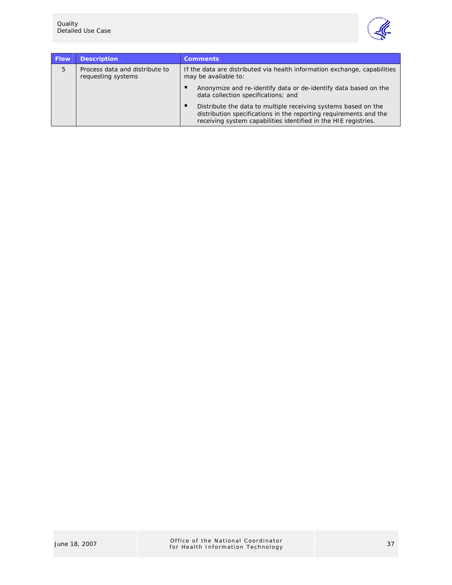

| <b>Flow</b> | <b>Description</b>                                   | <b>Comments</b>                                                                                                                                                                                        |
|-------------|------------------------------------------------------|--------------------------------------------------------------------------------------------------------------------------------------------------------------------------------------------------------|
| 5           | Process data and distribute to<br>requesting systems | If the data are distributed via health information exchange, capabilities<br>may be available to:                                                                                                      |
|             |                                                      | Anonymize and re-identify data or de-identify data based on the<br>data collection specifications; and                                                                                                 |
|             |                                                      | Distribute the data to multiple receiving systems based on the<br>distribution specifications in the reporting requirements and the<br>receiving system capabilities identified in the HIE registries. |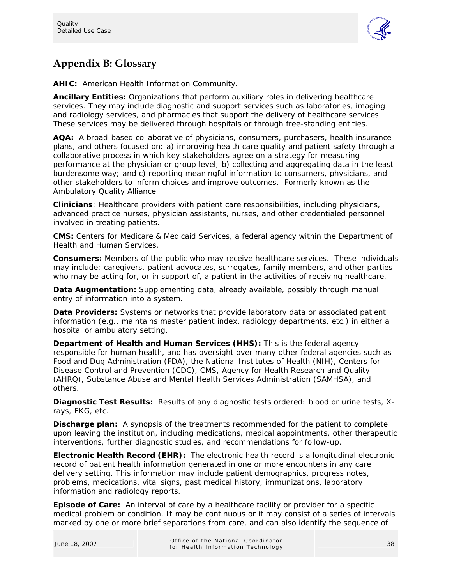

# **Appendix B: Glossary**

**AHIC:** American Health Information Community.

**Ancillary Entities:** Organizations that perform auxiliary roles in delivering healthcare services. They may include diagnostic and support services such as laboratories, imaging and radiology services, and pharmacies that support the delivery of healthcare services. These services may be delivered through hospitals or through free-standing entities.

**AQA:** A broad-based collaborative of physicians, consumers, purchasers, health insurance plans, and others focused on: a) improving health care quality and patient safety through a collaborative process in which key stakeholders agree on a strategy for measuring performance at the physician or group level; b) collecting and aggregating data in the least burdensome way; and c) reporting meaningful information to consumers, physicians, and other stakeholders to inform choices and improve outcomes. Formerly known as the Ambulatory Quality Alliance.

**Clinicians**: Healthcare providers with patient care responsibilities, including physicians, advanced practice nurses, physician assistants, nurses, and other credentialed personnel involved in treating patients.

**CMS:** Centers for Medicare & Medicaid Services, a federal agency within the Department of Health and Human Services.

**Consumers:** Members of the public who may receive healthcare services. These individuals may include: caregivers, patient advocates, surrogates, family members, and other parties who may be acting for, or in support of, a patient in the activities of receiving healthcare.

**Data Augmentation:** Supplementing data, already available, possibly through manual entry of information into a system.

**Data Providers:** Systems or networks that provide laboratory data or associated patient information (e.g., maintains master patient index, radiology departments, etc.) in either a hospital or ambulatory setting.

**Department of Health and Human Services (HHS):** This is the federal agency responsible for human health, and has oversight over many other federal agencies such as Food and Dug Administration (FDA), the National Institutes of Health (NIH), Centers for Disease Control and Prevention (CDC), CMS, Agency for Health Research and Quality (AHRQ), Substance Abuse and Mental Health Services Administration (SAMHSA), and others.

**Diagnostic Test Results:** Results of any diagnostic tests ordered: blood or urine tests, Xrays, EKG, etc.

**Discharge plan:** A synopsis of the treatments recommended for the patient to complete upon leaving the institution, including medications, medical appointments, other therapeutic interventions, further diagnostic studies, and recommendations for follow-up.

**Electronic Health Record (EHR):** The electronic health record is a longitudinal electronic record of patient health information generated in one or more encounters in any care delivery setting. This information may include patient demographics, progress notes, problems, medications, vital signs, past medical history, immunizations, laboratory information and radiology reports.

**Episode of Care:** An interval of care by a healthcare facility or provider for a specific medical problem or condition. It may be continuous or it may consist of a series of intervals marked by one or more brief separations from care, and can also identify the sequence of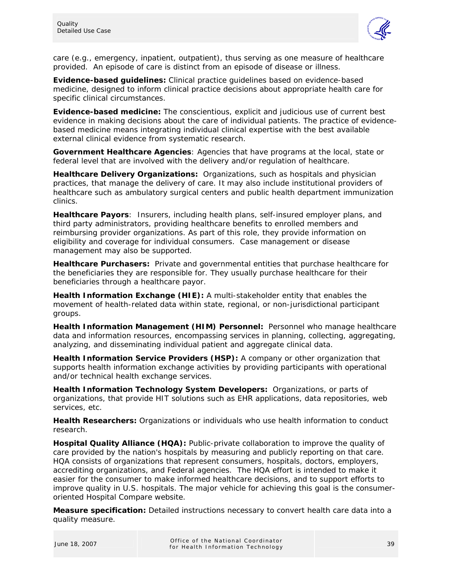

care (e.g., emergency, inpatient, outpatient), thus serving as one measure of healthcare provided. An episode of care is distinct from an episode of disease or illness.

**Evidence-based guidelines:** Clinical practice guidelines based on evidence-based medicine, designed to inform clinical practice decisions about appropriate health care for specific clinical circumstances.

**Evidence-based medicine:** The conscientious, explicit and judicious use of current best evidence in making decisions about the care of individual patients. The practice of evidencebased medicine means integrating individual clinical expertise with the best available external clinical evidence from systematic research.

**Government Healthcare Agencies**: Agencies that have programs at the local, state or federal level that are involved with the delivery and/or regulation of healthcare.

**Healthcare Delivery Organizations:** Organizations, such as hospitals and physician practices, that manage the delivery of care. It may also include institutional providers of healthcare such as ambulatory surgical centers and public health department immunization clinics.

**Healthcare Payors**: Insurers, including health plans, self-insured employer plans, and third party administrators, providing healthcare benefits to enrolled members and reimbursing provider organizations. As part of this role, they provide information on eligibility and coverage for individual consumers. Case management or disease management may also be supported.

**Healthcare Purchasers:** Private and governmental entities that purchase healthcare for the beneficiaries they are responsible for. They usually purchase healthcare for their beneficiaries through a healthcare payor.

**Health Information Exchange (HIE):** A multi-stakeholder entity that enables the movement of health-related data within state, regional, or non-jurisdictional participant groups.

**Health Information Management (HIM) Personnel:** Personnel who manage healthcare data and information resources, encompassing services in planning, collecting, aggregating, analyzing, and disseminating individual patient and aggregate clinical data.

**Health Information Service Providers (HSP):** A company or other organization that supports health information exchange activities by providing participants with operational and/or technical health exchange services.

**Health Information Technology System Developers:** Organizations, or parts of organizations, that provide HIT solutions such as EHR applications, data repositories, web services, etc.

**Health Researchers:** Organizations or individuals who use health information to conduct research.

**Hospital Quality Alliance (HQA):** Public-private collaboration to improve the quality of care provided by the nation's hospitals by measuring and publicly reporting on that care. HQA consists of organizations that represent consumers, hospitals, doctors, employers, accrediting organizations, and Federal agencies. The HQA effort is intended to make it easier for the consumer to make informed healthcare decisions, and to support efforts to improve quality in U.S. hospitals. The major vehicle for achieving this goal is the consumeroriented Hospital Compare website.

**Measure specification:** Detailed instructions necessary to convert health care data into a quality measure.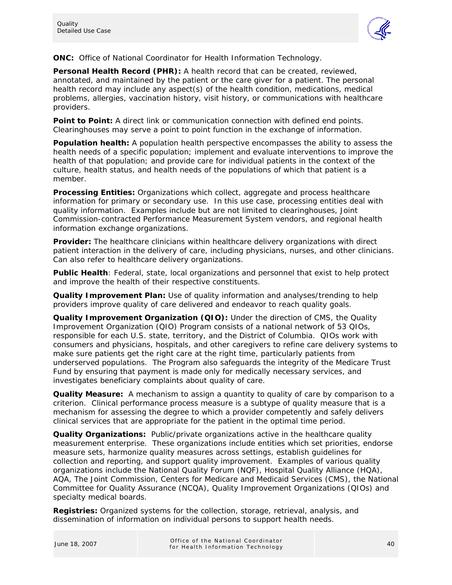

**ONC:** Office of National Coordinator for Health Information Technology.

**Personal Health Record (PHR):** A health record that can be created, reviewed, annotated, and maintained by the patient or the care giver for a patient. The personal health record may include any aspect(s) of the health condition, medications, medical problems, allergies, vaccination history, visit history, or communications with healthcare providers.

**Point to Point:** A direct link or communication connection with defined end points. Clearinghouses may serve a point to point function in the exchange of information.

**Population health:** A population health perspective encompasses the ability to assess the health needs of a specific population; implement and evaluate interventions to improve the health of that population; and provide care for individual patients in the context of the culture, health status, and health needs of the populations of which that patient is a member.

**Processing Entities:** Organizations which collect, aggregate and process healthcare information for primary or secondary use. In this use case, processing entities deal with quality information. Examples include but are not limited to clearinghouses, Joint Commission-contracted Performance Measurement System vendors, and regional health information exchange organizations.

**Provider:** The healthcare clinicians within healthcare delivery organizations with direct patient interaction in the delivery of care, including physicians, nurses, and other clinicians. Can also refer to healthcare delivery organizations.

**Public Health**: Federal, state, local organizations and personnel that exist to help protect and improve the health of their respective constituents.

**Quality Improvement Plan:** Use of quality information and analyses/trending to help providers improve quality of care delivered and endeavor to reach quality goals.

**Quality Improvement Organization (QIO):** Under the direction of CMS, the Quality Improvement Organization (QIO) Program consists of a national network of 53 QIOs, responsible for each U.S. state, territory, and the District of Columbia. QIOs work with consumers and physicians, hospitals, and other caregivers to refine care delivery systems to make sure patients get the right care at the right time, particularly patients from underserved populations. The Program also safeguards the integrity of the Medicare Trust Fund by ensuring that payment is made only for medically necessary services, and investigates beneficiary complaints about quality of care.

**Quality Measure:** A mechanism to assign a quantity to quality of care by comparison to a criterion. Clinical performance process measure is a subtype of quality measure that is a mechanism for assessing the degree to which a provider competently and safely delivers clinical services that are appropriate for the patient in the optimal time period.

**Quality Organizations:** Public/private organizations active in the healthcare quality measurement enterprise. These organizations include entities which set priorities, endorse measure sets, harmonize quality measures across settings, establish guidelines for collection and reporting, and support quality improvement. Examples of various quality organizations include the National Quality Forum (NQF), Hospital Quality Alliance (HQA), AQA, The Joint Commission, Centers for Medicare and Medicaid Services (CMS), the National Committee for Quality Assurance (NCQA), Quality Improvement Organizations (QIOs) and specialty medical boards.

**Registries:** Organized systems for the collection, storage, retrieval, analysis, and dissemination of information on individual persons to support health needs.